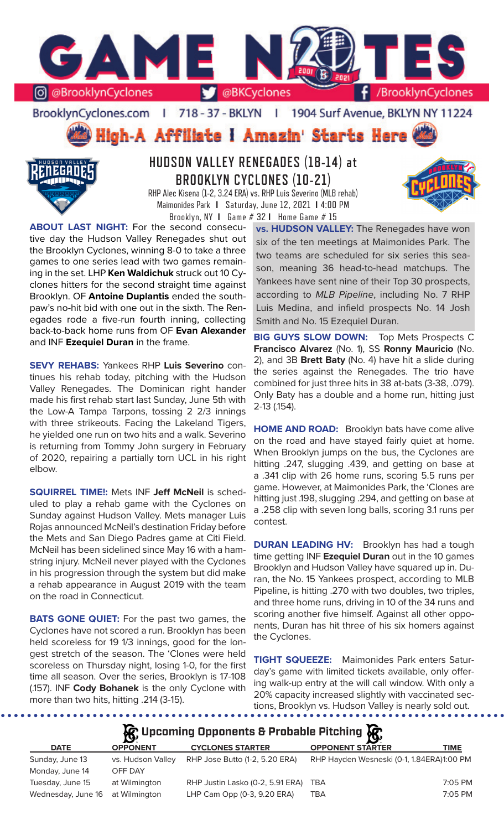

BrooklynCyclones.com | 718 - 37 - BKLYN | 1904 Surf Avenue, BKLYN NY 11224

# High-A Affiliate I Amazin' Starts Here



# **HUDSON VALLEY RENEGADES (18-14) at BROOKLYN CYCLONES (10-21)**

RHP Alec Kisena (1-2, 3.24 ERA) vs. RHP Luis Severino (MLB rehab) Maimonides Park **I** Saturday, June 12, 2021 **I** 4:00 PM Brooklyn, NY **I** Game # 32 **I** Home Game # 15

**ABOUT LAST NIGHT:** For the second consecutive day the Hudson Valley Renegades shut out the Brooklyn Cyclones, winning 8-0 to take a three games to one series lead with two games remaining in the set. LHP **Ken Waldichuk** struck out 10 Cyclones hitters for the second straight time against Brooklyn. OF **Antoine Duplantis** ended the southpaw's no-hit bid with one out in the sixth. The Renegades rode a five-run fourth inning, collecting back-to-back home runs from OF **Evan Alexander**  and INF **Ezequiel Duran** in the frame.

**SEVY REHABS:** Yankees RHP **Luis Severino** continues his rehab today, pitching with the Hudson Valley Renegades. The Dominican right hander made his first rehab start last Sunday, June 5th with the Low-A Tampa Tarpons, tossing 2 2/3 innings with three strikeouts. Facing the Lakeland Tigers, he yielded one run on two hits and a walk. Severino is returning from Tommy John surgery in February of 2020, repairing a partially torn UCL in his right elbow.

**SQUIRREL TIME!:** Mets INF **Jeff McNeil** is scheduled to play a rehab game with the Cyclones on Sunday against Hudson Valley. Mets manager Luis Rojas announced McNeil's destination Friday before the Mets and San Diego Padres game at Citi Field. McNeil has been sidelined since May 16 with a hamstring injury. McNeil never played with the Cyclones in his progression through the system but did make a rehab appearance in August 2019 with the team on the road in Connecticut.

**BATS GONE QUIET:** For the past two games, the Cyclones have not scored a run. Brooklyn has been held scoreless for 19 1/3 innings, good for the longest stretch of the season. The 'Clones were held scoreless on Thursday night, losing 1-0, for the first time all season. Over the series, Brooklyn is 17-108 (.157). INF **Cody Bohanek** is the only Cyclone with more than two hits, hitting .214 (3-15).

**vs. HUDSON VALLEY:** The Renegades have won six of the ten meetings at Maimonides Park. The two teams are scheduled for six series this season, meaning 36 head-to-head matchups. The Yankees have sent nine of their Top 30 prospects, according to *MLB Pipeline*, including No. 7 RHP Luis Medina, and infield prospects No. 14 Josh Smith and No. 15 Ezequiel Duran.

**BIG GUYS SLOW DOWN:** Top Mets Prospects C **Francisco Alvarez** (No. 1), SS **Ronny Mauricio** (No. 2), and 3B **Brett Baty** (No. 4) have hit a slide during the series against the Renegades. The trio have combined for just three hits in 38 at-bats (3-38, .079). Only Baty has a double and a home run, hitting just 2-13 (.154).

**HOME AND ROAD:** Brooklyn bats have come alive on the road and have stayed fairly quiet at home. When Brooklyn jumps on the bus, the Cyclones are hitting .247, slugging .439, and getting on base at a .341 clip with 26 home runs, scoring 5.5 runs per game. However, at Maimonides Park, the 'Clones are hitting just .198, slugging .294, and getting on base at a .258 clip with seven long balls, scoring 3.1 runs per contest.

**DURAN LEADING HV:** Brooklyn has had a tough time getting INF **Ezequiel Duran** out in the 10 games Brooklyn and Hudson Valley have squared up in. Duran, the No. 15 Yankees prospect, according to MLB Pipeline, is hitting .270 with two doubles, two triples, and three home runs, driving in 10 of the 34 runs and scoring another five himself. Against all other opponents, Duran has hit three of his six homers against the Cyclones.

**TIGHT SQUEEZE:** Maimonides Park enters Saturday's game with limited tickets available, only offering walk-up entry at the will call window. With only a 20% capacity increased slightly with vaccinated sections, Brooklyn vs. Hudson Valley is nearly sold out.

## **A**: Upcoming Opponents & Probable Pitching  $\mathbb{R}$

| <b>DATE</b>                      | $\mathbf{r}$<br><b>OPPONENT</b> | <b>CYCLONES STARTER</b>              | LY:<br><b>OPPONENT STARTER</b>            | <b>TIME</b> |
|----------------------------------|---------------------------------|--------------------------------------|-------------------------------------------|-------------|
| Sunday, June 13                  | vs. Hudson Valley               | RHP Jose Butto (1-2, 5.20 ERA)       | RHP Hayden Wesneski (0-1, 1.84ERA)1:00 PM |             |
| Monday, June 14                  | OFF DAY                         |                                      |                                           |             |
| Tuesday, June 15                 | at Wilmington                   | RHP Justin Lasko (0-2, 5.91 ERA) TBA |                                           | 7:05 PM     |
| Wednesday, June 16 at Wilmington |                                 | LHP Cam Opp (0-3, 9.20 ERA)          | TBA                                       | 7:05 PM     |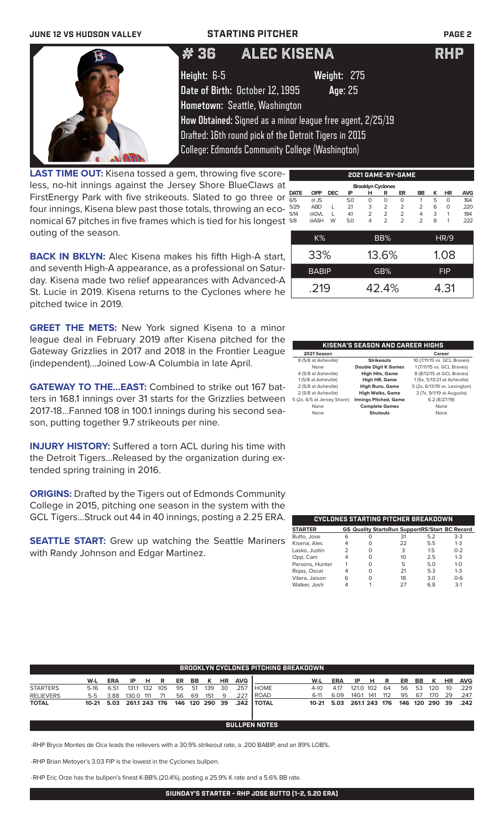## **JUNE 12 VS HUDSON VALLEY STARTING PITCHER PAGE 2** # 36 ALEC KISENA RHP **Height:** 6-5 **Weight:** 275 **Date of Birth:** October 12, 1995 **Age**: 25 **Hometown:** Seattle, Washington **How Obtained:** Signed as a minor league free agent, 2/25/19 Drafted: 16th round pick of the Detroit Tigers in 2015 College: Edmonds Community College (Washington) **MARAN**

**LAST TIME OUT:** Kisena tossed a gem, throwing five scoreless, no-hit innings against the Jersey Shore BlueClaws at FirstEnergy Park with five strikeouts. Slated to go three or four innings, Kisena blew past those totals, throwing an economical 67 pitches in five frames which is tied for his longest outing of the season.

| <b>Brooklyn Cyclones</b> |            |            |     |                |                |                |                |   |           |      |  |  |  |
|--------------------------|------------|------------|-----|----------------|----------------|----------------|----------------|---|-----------|------|--|--|--|
| <b>DATE</b>              | <b>OPP</b> | <b>DEC</b> | ΙP  | н              | R              | ER             | BB             | κ | <b>HR</b> | AVG  |  |  |  |
| 6/5                      | $@$ JS     |            | 5.0 | $\Omega$       | $\Omega$       | $\Omega$       |                | 5 | $\Omega$  | .164 |  |  |  |
| 5/29                     | <b>ABD</b> | L          | 21  | 3              | $\overline{2}$ | $\overline{2}$ | $\overline{2}$ | 6 | O         | .220 |  |  |  |
| 5/14                     | @GVL       |            | 41  | $\overline{2}$ | $\overline{2}$ | $\overline{2}$ | 4              | 3 | 1         | .194 |  |  |  |
| 5/8                      | @ASH       | W          | 5.0 | 4              | $\overline{2}$ | $\overline{2}$ | $\overline{2}$ | 8 | 1         | .222 |  |  |  |
|                          |            |            |     |                |                |                |                |   |           |      |  |  |  |
|                          | K%         |            |     | BB%            |                | HR/9           |                |   |           |      |  |  |  |
|                          |            |            |     |                |                |                |                |   |           |      |  |  |  |
|                          | 33%        |            |     | 13.6%          |                |                | 1.08           |   |           |      |  |  |  |
|                          |            |            |     |                |                |                |                |   |           |      |  |  |  |
| <b>BABIP</b>             |            |            |     |                | GB%            |                | <b>FIP</b>     |   |           |      |  |  |  |
|                          |            |            |     |                |                |                |                |   |           |      |  |  |  |
|                          |            |            |     |                | 42.4%          |                | 4.31           |   |           |      |  |  |  |
| .219                     |            |            |     |                |                |                |                |   |           |      |  |  |  |

**2021 GAME-BY-GAME**

**BACK IN BKLYN:** Alec Kisena makes his fifth High-A start, and seventh High-A appearance, as a professional on Saturday. Kisena made two relief appearances with Advanced-A St. Lucie in 2019. Kisena returns to the Cyclones where he pitched twice in 2019.

**GREET THE METS:** New York signed Kisena to a minor league deal in February 2019 after Kisena pitched for the Gateway Grizzlies in 2017 and 2018 in the Frontier League (independent)...Joined Low-A Columbia in late April.

**GATEWAY TO THE...EAST:** Combined to strike out 167 batters in 168.1 innings over 31 starts for the Grizzlies between 2017-18...Fanned 108 in 100.1 innings during his second season, putting together 9.7 strikeouts per nine.

**INJURY HISTORY:** Suffered a torn ACL during his time with the Detroit Tigers...Released by the organization during extended spring training in 2016.

**ORIGINS:** Drafted by the Tigers out of Edmonds Community College in 2015, pitching one season in the system with the GCL Tigers...Struck out 44 in 40 innings, posting a 2.25 ERA.

**SEATTLE START:** Grew up watching the Seattle Mariners with Randy Johnson and Edgar Martinez.

| <b>KISENA'S SEASON AND CAREER HIGHS</b> |                              |                               |  |  |  |  |  |  |  |  |  |
|-----------------------------------------|------------------------------|-------------------------------|--|--|--|--|--|--|--|--|--|
| 2021 Season                             |                              | Career                        |  |  |  |  |  |  |  |  |  |
| 8 (5/8 at Asheville)                    | <b>Strikeouts</b>            | 10 (7/11/15 vs. GCL Braves)   |  |  |  |  |  |  |  |  |  |
| None                                    | <b>Double Digit K Games</b>  | 1 (7/11/15 vs. GCL Braves)    |  |  |  |  |  |  |  |  |  |
| 4 (5/8 at Asheville)                    | <b>High Hits, Game</b>       | 8 (8/12/15 at GCL Braves)     |  |  |  |  |  |  |  |  |  |
| 1 (5/8 at Asheville)                    | High HR, Game                | 1 (5x, 5/13/21 at Asheville)  |  |  |  |  |  |  |  |  |  |
| 2 (5/8 at Asheville)                    | <b>High Runs, Game</b>       | 5 (2x, 6/13/19 vs. Lexington) |  |  |  |  |  |  |  |  |  |
| 2 (5/8 at Asheville)                    | <b>High Walks, Game</b>      | 3 (7x, 9/1/19 at Augusta)     |  |  |  |  |  |  |  |  |  |
| 5 (2x, 6/5 at Jersey Shore)             | <b>Innings Pitched, Game</b> | 6.2 (8/27/19)                 |  |  |  |  |  |  |  |  |  |
| None                                    | <b>Complete Games</b>        | None                          |  |  |  |  |  |  |  |  |  |
| None                                    | Shutouts                     | None                          |  |  |  |  |  |  |  |  |  |

|                 |   |   | CYCLONES STARTING PITCHER BREAKDOWN                   |     |              |
|-----------------|---|---|-------------------------------------------------------|-----|--------------|
| <b>STARTER</b>  |   |   | <b>GS Quality StartsRun SupportRS/Start BC Record</b> |     |              |
| Butto, Jose     | 6 | Ο | 31                                                    | 5.2 | $3-3$        |
| Kisena, Alec    |   |   | 22                                                    | 5.5 | $1 - 3$      |
| Lasko, Justin   |   |   | 3                                                     | 1.5 | $0 - 2$      |
| Opp, Cam        |   |   | 10                                                    | 2.5 | $1 - 3$      |
| Parsons, Hunter |   |   | 5                                                     | 5.0 | $1 - \Omega$ |
| Rojas, Oscar    |   | Ω | 21                                                    | 5.3 | $1 - 3$      |
| Vilera, Jaison  | 6 |   | 18                                                    | 3.0 | $0 - 6$      |
| Walker, Josh    |   |   |                                                       | 6.8 | $3-1$        |

|                  | <b>BROOKLYN CYCLONES PITCHING BREAKDOWN</b> |            |              |     |     |    |     |                |    |            |               |         |      |              |      |     |     |     |         |           |            |
|------------------|---------------------------------------------|------------|--------------|-----|-----|----|-----|----------------|----|------------|---------------|---------|------|--------------|------|-----|-----|-----|---------|-----------|------------|
|                  | W-L                                         | <b>ERA</b> | ΙP           | н   | R   | ER | BB. | к              | HR | <b>AVG</b> |               | W-L     | ERA  | ΙP           | н    | R   | ER  | BB  | K       | <b>HR</b> | <b>AVG</b> |
| <b>STARTERS</b>  | $5-16$                                      | 6.51       | 131.1        | 132 | 105 | 95 | -51 | 139            | 30 | .257       | <b>I</b> HOME | $4-10$  | 4.17 | 121.0 102    |      | 64  | 56  | 53  | 120     | 10        | .229       |
| <b>RELIEVERS</b> | $5-5$                                       | 3.88       | 130.0        | 111 |     | 56 | 69  | 151            | q  | 227        | I ROAD        | 6-11    | 6.09 | 140.1        | -141 | 112 | 95  | -67 | 170     | 29        | .247       |
| <b>TOTAL</b>     | 10-21                                       | 5.03       | 2611 243 176 |     |     |    |     | 146 120 290 39 |    | .242       | ' TOTAL       | $10-21$ | 5.03 | 2611 243 176 |      |     | 146 |     | 120 290 | -39       | .242       |
|                  |                                             |            |              |     |     |    |     |                |    |            |               |         |      |              |      |     |     |     |         |           |            |
|                  | <b>BULLPEN NOTES</b>                        |            |              |     |     |    |     |                |    |            |               |         |      |              |      |     |     |     |         |           |            |

-RHP Bryce Montes de Oca leads the relievers with a 30.9% strikeout rate, a .200 BABIP, and an 89% LOB%.

-RHP Brian Metoyer's 3.03 FIP is the lowest in the Cyclones bullpen.

-RHP Eric Orze has the bullpen's finest K-BB% (20.4%), posting a 25.9% K rate and a 5.6% BB rate.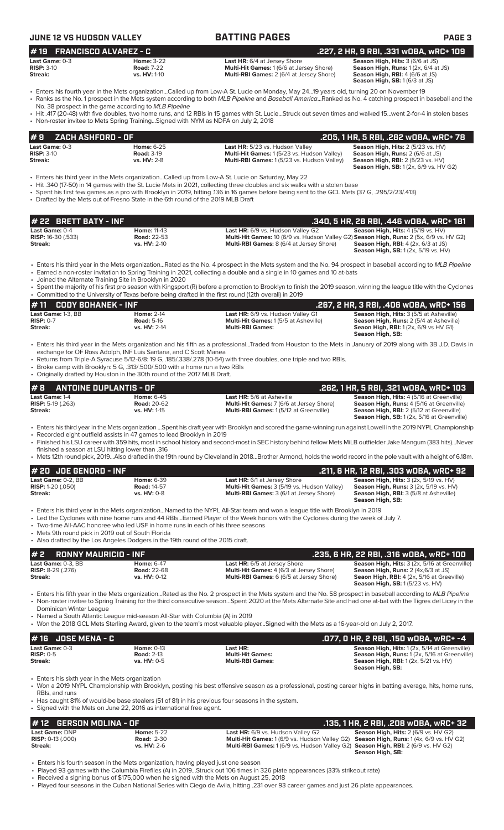### **JUNE 12 VS HUDSON VALLEY BATTING PAGES PAGE 3 # 22 BRETT BATY - INF .340, 5 HR, 28 RBI, .446 wOBA, wRC+ 181 Last Game:** 0-4 **Home:** 11-43 **Last HR:** 6/9 vs. Hudson Valley G2 **Season High, Hits:** 4 (5/19 vs. HV) **RISP:** 16-30 (.533) **Road:** 22-53 **Multi-Hit Games:** 10 (6/9 vs. Hudson Valley G2) **Season High, Runs:** 2 (5x, 6/9 vs. HV G2) **Streak: vs. HV:** 2-10 **Multi-RBI Games:** 8 (6/4 at Jersey Shore) **Season High, RBI:** 4 (2x, 6/3 at JS) **Season High, SB:** 1 (2x, 5/19 vs. HV) • Enters his third year in the Mets organization...Rated as the No. 4 prospect in the Mets system and the No. 94 prospect in baseball according to *MLB Pipeline* • Earned a non-roster invitation to Spring Training in 2021, collecting a double and a single in 10 games and 10 at-bats • Joined the Alternate Training Site in Brooklyn in 2020 • Spent the majority of his first pro season with Kingsport (R) before a promotion to Brooklyn to finish the 2019 season, winning the league title with the Cyclones • Committed to the University of Texas before being drafted in the first round (12th overall) in 2019 **# 11 CODY BOHANEK - INF .267, 2 HR, 3 RBI, .406 wOBA, wRC+ 156 Last Game:** 1-3, BB **Home:** 2-14 **Last HR:** 6/9 vs. Hudson Valley G1 **Season High, Hits:** 3 (5/5 at Asheville) **RISP:** 0-7 **Road:** 5-16 **Multi-Hit Games:** 1 (5/5 at Asheville) **Season High, Runs:** 2 (5/4 at Asheville) **Seaon High, RBI:** 1 (2x, 6/9 vs HV G1) **Season High, SB:**  • Enters his third year in the Mets organization and his fifth as a professional...Traded from Houston to the Mets in January of 2019 along with 3B J.D. Davis in exchange for OF Ross Adolph, INF Luis Santana, and C Scott Manea Returns from Triple-A Syracuse 5/12-6/8: 19 G, .185/.338/.278 (10-54) with three doubles, one triple and two RBIs. • Broke camp with Brooklyn: 5 G, .313/.500/.500 with a home run a two RBIs • Originally drafted by Houston in the 30th round of the 2017 MLB Draft. **# 2 RONNY MAURICIO - INF .235, 6 HR, 22 RBI, .316 wOBA, wRC+ 100 Last Game:** 0-3, BB **Home:** 6-47 **Last HR:** 6/5 at Jersey Shore **Season High, Hits:** 3 (2x, 5/16 at Greenville) **RISP:** 8-29 (.276) **Road:** 22-68 **Multi-Hit Games:** 4 (6/3 at Jersey Shore) **Season High, Runs:** 2 (4x,6/3 at JS) **Streak: vs. HV:** 0-12 **Multi-RBI Games:** 6 (6/5 at Jersey Shore) **Seaon High, RBI:** 4 (2x, 5/16 at Greeville) **Season High, SB:** 1 (5/23 vs. HV) • Enters his fifth year in the Mets organization...Rated as the No. 2 prospect in the Mets system and the No. 58 prospect in baseball according to *MLB Pipeline* • Non-roster invitee to Spring Training for the third consecutive season...Spent 2020 at the Mets Alternate Site and had one at-bat with the Tigres del Licey in the Dominican Winter League • Named a South Atlantic League mid-season All-Star with Columbia (A) in 2019 • Won the 2018 GCL Mets Sterling Award, given to the team's most valuable player...Signed with the Mets as a 16-year-old on July 2, 2017. **# 8 ANTOINE DUPLANTIS - OF .262, 1 HR, 5 RBI, .321 wOBA, wRC+ 103 Last Game:** 1-4 **Home:** 6-45 **Last HR:** 5/6 at Asheville **Season High, Hits:** 4 (5/16 at Greenville) **Risheville Season High, Hits:** 4 (5/16 at Greenville) **Risheville Risheville Season High, Runs:** 4 (5/16 at Green **RISP:** 5-19 (.263) **Road:** 20-62 **Multi-Hit Games:** 7 (6/6 at Jersey Shore) **Season High, Runs:** 4 (5/16 at Greenville)<br> **Road:** 20-62 **Multi-RBI Games:** 1 (5/12 at Greenville) **Season High, Runs:** 4 (5/16 at Greenville) **Season High, RBI:** 2 (5/12 at Greenville) **Season High, SB:** 1 (2x, 5/16 at Greenville) • Enters his third year in the Mets organization ...Spent his draft year with Brooklyn and scored the game-winning run against Lowell in the 2019 NYPL Championship • Recorded eight outfield assists in 47 games to lead Brooklyn in 2019 • Finished his LSU career with 359 hits, most in school history and second-most in SEC history behind fellow Mets MiLB outfielder Jake Mangum (383 hits)...Never finished a season at LSU hitting lower than .316 • Mets 12th round pick, 2019...Also drafted in the 19th round by Cleveland in 2018...Brother Armond, holds the world record in the pole vault with a height of 6.18m. **# 20 JOE GENORD - INF .211, 6 HR, 12 RBI, .303 wOBA, wRC+ 92 Last Game:** 0-2, BB **Home:** 6-39 **Last HR:** 6/1 at Jersey Shore **Season High, Hits:** 3 (2x, 5/19 vs. HV) **RISP:** 1-20 (.050) **Road:** 14-57 **Multi-Hit Games:** 3 (5/19 vs. Hudson Valley) **Season High, Runs:** 3 (2x, 5/19 vs. HV) **RISP:** 1-20 (050) **Strait Community of the Read:** 14-57 **Multi-Hit Games:** 3 (5/19 vs. Hudson Valley) **Season High, Runs:** 3 (2x, 5/19 vs. HV: 0-8 **Multi-RBI Games:** 3 (6/1 at Jersey Shore) **Season High, Runs:** 3 (2x, 5/1 **Season High, SB:**  • Enters his third year in the Mets organization...Named to the NYPL All-Star team and won a league title with Brooklyn in 2019 • Led the Cyclones with nine home runs and 44 RBIs...Earned Player of the Week honors with the Cyclones during the week of July 7. • Two-time All-AAC honoree who led USF in home runs in each of his three seasons Mets 9th round pick in 2019 out of South Florida • Also drafted by the Los Angeles Dodgers in the 19th round of the 2015 draft. **# 16 JOSE MENA - C .077, 0 HR, 2 RBI, .150 wOBA, wRC+ -4** Last Game: 0-3 **Home:** 0-13 **Home: 0-13 Last HR: Cames:** Cames: Cames: Season High, Hits: 1 (2x, 5/14 at Greenville)<br> **RISP:** 0-5 **Road: 2-13 Road: 2-13 Multi-Hit Games: Season High, Runs:** 1 (2x, 5/16 at Greenville) **RISP:** 0-5 **Road:** 2-13 **Multi-Hit Games: Season High, Runs:** 1 (2x, 5/16 at Greenville) **Streak: vs. HV:** 0-5 **Multi-RBI Games: Season High, RBI:** 1 (2x, 5/21 vs. HV) **Season High, SB:**  • Enters his sixth year in the Mets organization • Won a 2019 NYPL Championship with Brooklyn, posting his best offensive season as a professional, posting career highs in batting average, hits, home runs, RBIs, and runs • Has caught 81% of would-be base stealers (51 of 81) in his previous four seasons in the system. Signed with the Mets on June 22, 2016 as international free agent. **Last Game: 0-3 Home: 6-25 Last HR:** 5/23 vs. Hudson Valley **Season High, Hits:** 2 (5/23 vs. HV)<br> **RISP:** 3-10 **Road: 3-19 Road: 3-19 Multi-Hit Games:** 1 (5/23 vs. Hudson Valley) **Season High, Runs:** 2 (6/6 at JS) **RISP:** 3-10 **Road:** 3-19 **Multi-Hit Games:** 1 (5/23 vs. Hudson Valley) **Season High, Runs:** 2 (6/6 at JS) **Multi-RBI Games:** 1 (5/23 vs. Hudson Valley) **Season High, SB:** 1 (2x, 6/9 vs. HV G2) • Enters his third year in the Mets organization...Called up from Low-A St. Lucie on Saturday, May 22 • Hit .340 (17-50) in 14 games with the St. Lucie Mets in 2021, collecting three doubles and six walks with a stolen base • Spent his first few games as a pro with Brooklyn in 2019, hitting .136 in 16 games before being sent to the GCL Mets (37 G, .295/2/23/.413) • Drafted by the Mets out of Fresno State in the 6th round of the 2019 MLB Draft **# 9 ZACH ASHFORD - OF .205, 1 HR, 5 RBI, .282 wOBA, wRC+ 78 Last Game:** 0-3 **Home:** 3-22 **Last HR:** 6/4 at Jersey Shore **Season High, Hits:** 3 (6/6 at JS)<br> **RISP:** 3-10 **Risp:** 1 (2x, 6/4 at JS) **RISP:** 3-10 **Road: 7-22 Road: 7-22 Multi-Hit Games: 1** (6/6 at Jersey Shore) **Streak: Streak: Streak: Runs: 2** (6/4 at Jersey Shore) **Multi-RBI Games:** 2 (6/4 at Jersey Shore) **Season High, RBI:**  $4(6/6$  at JS)<br>**Season High, RBI:**  $4(6/3$  at JS) • Enters his fourth year in the Mets organization...Called up from Low-A St. Lucie on Monday, May 24...19 years old, turning 20 on November 19 • Ranks as the No. 1 prospect in the Mets system according to both *MLB Pipeline* and *Baseball America*...Ranked as No. 4 catching prospect in baseball and the No. 38 prospect in the game according to *MLB Pipeline* • Hit .417 (20-48) with five doubles, two home runs, and 12 RBIs in 15 games with St. Lucie...Struck out seven times and walked 15...went 2-for-4 in stolen bases • Non-roster invitee to Mets Spring Training...Signed with NYM as NDFA on July 2, 2018 **# 19 FRANCISCO ALVAREZ - C .227, 2 HR, 9 RBI, .331 wOBA, wRC+ 109**

**# 12 GERSON MOLINA - OF .135, 1 HR, 2 RBI, .208 wOBA, wRC+ 32 Last Game:** DNP **Home:** 5-22 **Last HR:** 6/9 vs. Hudson Valley G2 **Season High, Hits:** 2 (6/9 vs. HV G2) **RISP:** 0-13 (.000) **Road:** 2-30 **Multi-Hit Games:** 1 (6/9 vs. Hudson Valley G2) **Season High, Runs:** 1 (4x, 6/9 vs. HV G2) **Streak:** vs. HV: 2-6 **Multi-RBI Games:** 1 (6/9 vs. Hudson Valley G2) **Season High, RBI:** 2 (6/9 vs. HV G2)<br>Season High, SB: **Season High, SB:** 

• Enters his fourth season in the Mets organization, having played just one season

• Played 93 games with the Columbia Fireflies (A) in 2019...Struck out 106 times in 326 plate appearances (33% strikeout rate)

• Received a signing bonus of \$175,000 when he signed with the Mets on August 25, 2018

• Played four seasons in the Cuban National Series with Ciego de Avila, hitting .231 over 93 career games and just 26 plate appearances.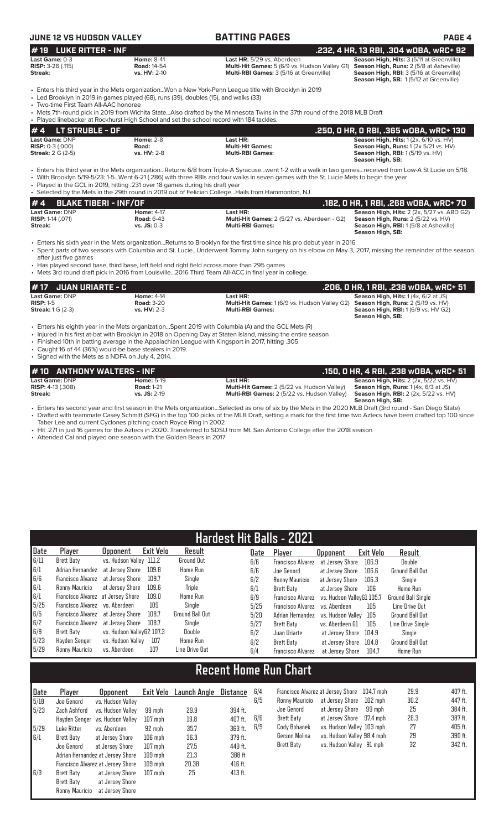| JUNE 12 VS HUDSON VALLEY                                       |                                                                                             | <b>BATTING PAGES</b>                                                                                                                                                                                                                                                                                                                                                                                   | PAGE 4                                                                                                                                         |
|----------------------------------------------------------------|---------------------------------------------------------------------------------------------|--------------------------------------------------------------------------------------------------------------------------------------------------------------------------------------------------------------------------------------------------------------------------------------------------------------------------------------------------------------------------------------------------------|------------------------------------------------------------------------------------------------------------------------------------------------|
| <b>LUKE RITTER - INF</b><br>#19                                |                                                                                             |                                                                                                                                                                                                                                                                                                                                                                                                        | .232, 4 HR, 13 RBI, .304 wOBA, wRC+ 92                                                                                                         |
| Last Game: 0-3<br>RISP: 3-26 (.115)<br>Streak:                 | <b>Home: 8-41</b><br><b>Road: 14-54</b><br>vs. HV: 2-10                                     | Last HR: 5/29 vs. Aberdeen<br>Multi-Hit Games: 5 (6/9 vs. Hudson Valley G1) Season High, Runs: 2 (5/8 at Asheville)<br>Multi-RBI Games: 3 (5/16 at Greenville)                                                                                                                                                                                                                                         | Season High, Hits: 3 (5/11 at Greenville)<br>Season High, RBI: 3 (5/16 at Greenville)<br>Season High, SB: 1(5/12 at Greenville)                |
| • Two-time First Team All-AAC honoree                          | • Led Brooklyn in 2019 in games played (68), runs (39), doubles (15), and walks (33)        | Enters his third year in the Mets organizationWon a New York-Penn League title with Brooklyn in 2019<br>• Mets 7th-round pick in 2019 from Wichita StateAlso drafted by the Minnesota Twins in the 37th round of the 2018 MLB Draft                                                                                                                                                                    |                                                                                                                                                |
|                                                                | • Played linebacker at Rockhurst High School and set the school record with 184 tackles.    |                                                                                                                                                                                                                                                                                                                                                                                                        |                                                                                                                                                |
| <b>LT STRUBLE - OF</b><br>#4<br>Last Game: DNP                 | <b>Home: 2-8</b>                                                                            | Last HR:                                                                                                                                                                                                                                                                                                                                                                                               | .250, 0 HR, 0 RBI, .365 w0BA, wRC+ 130<br>Season High, Hits: 1 (2x, 6/10 vs. HV)                                                               |
| <b>RISP: 0-3 (.000)</b><br><b>Streak:</b> 2 G (2-5)            | Road:<br>vs. HV: 2-8                                                                        | <b>Multi-Hit Games:</b><br><b>Multi-RBI Games:</b>                                                                                                                                                                                                                                                                                                                                                     | Season High, Runs: 1 (2x 5/21 vs. HV)<br><b>Season High, RBI:</b> 1 (5/19 vs. HV)<br>Season High, SB:                                          |
|                                                                | . Played in the GCL in 2019, hitting .231 over 18 games during his draft year               | • Enters his third year in the Mets organizationReturns 6/8 from Triple-A Syracusewent 1-2 with a walk in two gamesreceived from Low-A St Lucie on 5/18.<br>• With Brooklyn 5/19-5/23: 1-5Went 6-21 (.286) with three RBIs and four walks in seven games with the St. Lucie Mets to begin the year<br>• Selected by the Mets in the 29th round in 2019 out of Felician CollegeHails from Hammonton, NJ |                                                                                                                                                |
| #4<br><b>BLAKE TIBERI - INF/OF</b>                             |                                                                                             |                                                                                                                                                                                                                                                                                                                                                                                                        | .182, 0 HR, 1 RBI, .268 w0BA, wRC+ 70                                                                                                          |
| Last Game: DNP<br>RISP: 1-14 (.071)<br>Streak:                 | <b>Home: 4-17</b><br><b>Road: 6-43</b><br>$vs.$ JS: $0-3$                                   | Last HR:<br>Multi-Hit Games: 2 (5/27 vs. Aberdeen - G2)<br><b>Multi-RBI Games:</b>                                                                                                                                                                                                                                                                                                                     | Season High, Hits: 2 (2x, 5/27 vs. ABD G2)<br>Season High, Runs: 2 (5/22 vs. HV)<br>Season High, RBI: 1 (5/8 at Asheville)<br>Season High, SB: |
| after just five games                                          | • Has played second base, third base, left field and right field across more than 295 games | • Enters his sixth year in the Mets organizationReturns to Brooklyn for the first time since his pro debut year in 2016<br>• Spent parts of two seasons with Columbia and St. LucieUnderwent Tommy John surgery on his elbow on May 3, 2017, missing the remainder of the season<br>• Mets 3rd round draft pick in 2016 from Louisville2016 Third Team All-ACC in final year in college.               |                                                                                                                                                |
| <b>JUAN URIARTE - C</b><br>#17                                 |                                                                                             |                                                                                                                                                                                                                                                                                                                                                                                                        | .206, O HR, 1 RBI, .238 wOBA, wRC+ 51                                                                                                          |
| Last Game: DNP<br><b>RISP: 1-5</b><br><b>Streak:</b> 1 G (2-3) | <b>Home: 4-14</b><br><b>Road: 3-20</b><br>vs. HV: 2-3                                       | Last HR:<br>Multi-Hit Games: 1 (6/9 vs. Hudson Valley G2)<br><b>Multi-RBI Games:</b>                                                                                                                                                                                                                                                                                                                   | Season High, Hits: 1 (4x, 6/2 at JS)<br>Season High, Runs: 2 (5/19 vs. HV)<br><b>Season High, RBI:</b> 1 (6/9 vs. HV G2)<br>Season High, SB:   |
| • Signed with the Mets as a NDFA on July 4, 2014.              | • Caught 16 of 44 (36%) would-be base stealers in 2019.                                     | Enters his eighth year in the Mets organizationSpent 2019 with Columbia (A) and the GCL Mets (R)<br>• Injured in his first at-bat with Brooklyn in 2018 on Opening Day at Staten Island, missing the entire season<br>. Finished 10th in batting average in the Appalachian League with Kingsport in 2017, hitting .305                                                                                |                                                                                                                                                |
| # 10                                                           | <b>ANTHONY WALTERS - INF</b>                                                                |                                                                                                                                                                                                                                                                                                                                                                                                        | .150, 0 HR, 4 RBI, .238 w0BA, wRC+ 51                                                                                                          |
| Last Game: DNP                                                 | <b>Home: 5-19</b>                                                                           | Last HR:                                                                                                                                                                                                                                                                                                                                                                                               | Season High, Hits: 2 (2x, 5/22 vs. HV)                                                                                                         |
| <b>RISP: 4-13 (.308)</b><br><b>Streak:</b>                     | <b>Road: 1-21</b><br>vs. JS: 2-19                                                           | Multi-Hit Games: 2 (5/22 vs. Hudson Valley)<br>Multi-RBI Games: 2 (5/22 vs. Hudson Valley)                                                                                                                                                                                                                                                                                                             | Season High, Runs: 1(4x, 6/3 at JS)<br><b>Season High, RBI:</b> 2 (2x, 5/22 vs. HV)<br>Season High, SB:                                        |
|                                                                |                                                                                             | • Enters his second year and first season in the Mets organizationSelected as one of six by the Mets in the 2020 MLB Draft (3rd round - San Diego State)<br>• Drafted with teammate Casey Schmitt (SFG) in the top 100 picks of the MLB Draft, setting a mark for the first time two Aztecs have been drafted top 100 since                                                                            |                                                                                                                                                |

Taber Lee and current Cyclones pitching coach Royce Ring in 2002 • Hit .271 in just 16 games for the Aztecs in 2020...Transferred to SDSU from Mt. San Antonio College after the 2018 season

• Attended Cal and played one season with the Golden Bears in 2017

| <b>Hardest Hit Balls - 2021</b>           |                                   |                           |           |                 |      |                          |                           |           |                        |  |  |  |
|-------------------------------------------|-----------------------------------|---------------------------|-----------|-----------------|------|--------------------------|---------------------------|-----------|------------------------|--|--|--|
| Date                                      | Player                            | <b>Opponent</b>           | Exit Velo | Result          | Date | Player                   | <b>Opponent</b>           | Exit Velo | Result                 |  |  |  |
| 6/11                                      | Brett Baty                        | vs. Hudson Valley 111.2   |           | Ground Out      | 6/6  | <b>Francisco Alvarez</b> | at Jersev Shore           | 106.9     | Double                 |  |  |  |
| $\begin{array}{c} 6/1 \\ 6/6 \end{array}$ | Adrian Hernandez                  | at Jersev Shore           | 109.8     | <b>Home Run</b> | 6/6  | Joe Genord               | at Jersey Shore           | 106.6     | <b>Ground Ball Out</b> |  |  |  |
|                                           | Francisco Alvarez                 | at Jersev Shore           | 109.7     | Single          | 6/2  | Ronny Mauricio           | at Jersev Shore           | 106.3     | Sinale                 |  |  |  |
| 6/1                                       | Ronny Mauricio                    | at Jersey Shore           | 109.6     | Triple          | 6/1  | Brett Baty               | at Jersey Shore           | 106       | Home Run               |  |  |  |
| 6/1                                       | Francisco Alvarez at Jersey Shore |                           | 109.0     | <b>Home Run</b> | 6/9  | <b>Francisco Alvarez</b> | vs. Hudson VallevG1 105.7 |           | Ground Ball Single     |  |  |  |
| 5/25                                      | Francisco Alvarez vs. Aberdeen    |                           | 109       | Single          | 5/25 | <b>Francisco Alvarez</b> | vs. Aberdeen              | 105       | Line Drive Out         |  |  |  |
| 6/5                                       | Francisco Alvarez at Jersey Shore |                           | 108.7     | Ground Ball Out | 5/20 | Adrian Hernandez         | vs. Hudson Vallev         | 105       | Ground Ball Out        |  |  |  |
| 6/2                                       | Francisco Alvarez at Jersey Shore |                           | 108.7     | Single          | 5/27 | Brett Baty               | vs. Aberdeen G1           | 105       | Line Drive Sinale      |  |  |  |
| 6/9                                       | Brett Baty                        | vs. Hudson ValleyG2 107.3 |           | Double          | 6/2  | Juan Uriarte             | at Jersev Shore           | 104.9     | Single                 |  |  |  |
| 5/23                                      | Hayden Senger                     | vs. Hudson Valley         | 107       | <b>Home Run</b> | 6/2  | Brett Baty               | at Jersev Shore           | 104.8     | <b>Ground Ball Out</b> |  |  |  |
| 5/29                                      | Ronny Mauricio                    | vs. Aberdeen              | 107       | Line Drive Out  | 6/4  | <b>Francisco Alvarez</b> | at Jersev Shore           | 104.7     | Home Run               |  |  |  |

# **Recent Home Run Chart**

| Date | Player         | <b>Opponent</b>                   |           | Exit Velo Launch Angle | <b>Distance</b> | 6/4 |
|------|----------------|-----------------------------------|-----------|------------------------|-----------------|-----|
| 5/18 | Joe Genord     | vs. Hudson Valley                 |           |                        |                 | 6/5 |
| 5/23 | Zach Ashford   | vs. Hudson Valley                 | 99 mph    | 29.9                   | 394 ft.         |     |
|      | Hayden Senger  | vs. Hudson Valley                 | $107$ mph | 19.8                   | 407 ft.         | 6/6 |
| 5/29 | Luke Ritter    | vs. Aberdeen                      | 92 mph    | 35.7                   | 363 ft.         | 6/9 |
| 6/1  | Brett Baty     | at Jersey Shore                   | $106$ mph | 36.3                   | 379 ft.         |     |
|      | Joe Genord     | at Jersey Shore                   | $107$ mph | 27.5                   | 449 ft.         |     |
|      |                | Adrian Hernandez at Jersey Shore  | $109$ mph | 21.3                   | 388 ft          |     |
|      |                | Francisco Alvarez at Jersey Shore | $109$ mph | 20.38                  | 416 ft.         |     |
| 6/3  | Brett Baty     | at Jersey Shore                   | $107$ mph | 25                     | 413 ft.         |     |
|      | Brett Baty     | at Jersey Shore                   |           |                        |                 |     |
|      | Ronny Mauricio | at Jersey Shore                   |           |                        |                 |     |

| 6/4 |                   | Francisco Alvarez at Jersey Shore 104.7 mph |        | 29.9 | 407 ft. |
|-----|-------------------|---------------------------------------------|--------|------|---------|
| 6/5 | Ronny Mauricio    | at Jersey Shore 102 mph                     |        | 30.2 | 447 ft. |
|     | Joe Genord        | at Jersey Shore                             | 99 mph | 25   | 384 ft. |
| 6/6 | Brett Baty        | at Jersey Shore 97.4 mph                    |        | 26.3 | 387 ft. |
| 6/9 | Cody Bohanek      | vs. Hudson Valley 103 mph                   |        | 27   | 405 ft. |
|     | Gerson Molina     | vs. Hudson Valley 98.4 mph                  |        | 29   | 390 ft. |
|     | <b>Brett Baty</b> | vs. Hudson Valley 91 mph                    |        | 32   | 342 ft. |
|     |                   |                                             |        |      |         |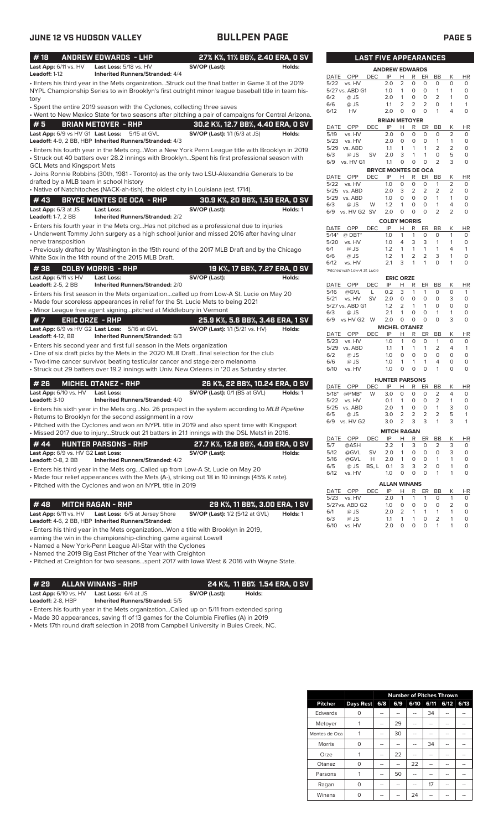| #18                       |                                                                                                                                                                                                                                                                                                                                                                                                                                                                                                                                                                                                                                                                                                                                                                                                                                                                                                                                                                                                                                                                                                                                                                                                                                                                                                                                                                                                                                                                                                                                                                                                                                                                                                                                                                                                                                                                                                                                                                                                                                                                                                                                                                                                                                                                                                                                                                                                                                                                                                                                                                                                                                                                                                                                                                                                                                                                                                                                                                                                                                                                                                                                                                                                                                                                                                                                                                                                                                                                                                                                                                                                                                                                                                                                                                                                                                                                                                                                                                                                                                                                                                                                                                                                                                                                                                                                                                                                                                                                                                                                                                                                                                                                                                                                                                                                                                                                                                                                                                                                                                                                                                                                                                                                                                                                                                                                                                                                                                                                                                                                                                                                                                                                                                                                                                                                                                                                                                                                                                                                                                                                                                                                                                                                                                                                                                                                                                                                                                                                                                                                                                                                                                                                                                                                                                                                                                                                                                                                                                                                                                                                                                                                                                                                                                                                                                                                                                                                                                                                                                                                                                                                                                                                                                                                                                                                                                                                              |                                        |          |                 |     |   |   |              |    |                |    |
|---------------------------|------------------------------------------------------------------------------------------------------------------------------------------------------------------------------------------------------------------------------------------------------------------------------------------------------------------------------------------------------------------------------------------------------------------------------------------------------------------------------------------------------------------------------------------------------------------------------------------------------------------------------------------------------------------------------------------------------------------------------------------------------------------------------------------------------------------------------------------------------------------------------------------------------------------------------------------------------------------------------------------------------------------------------------------------------------------------------------------------------------------------------------------------------------------------------------------------------------------------------------------------------------------------------------------------------------------------------------------------------------------------------------------------------------------------------------------------------------------------------------------------------------------------------------------------------------------------------------------------------------------------------------------------------------------------------------------------------------------------------------------------------------------------------------------------------------------------------------------------------------------------------------------------------------------------------------------------------------------------------------------------------------------------------------------------------------------------------------------------------------------------------------------------------------------------------------------------------------------------------------------------------------------------------------------------------------------------------------------------------------------------------------------------------------------------------------------------------------------------------------------------------------------------------------------------------------------------------------------------------------------------------------------------------------------------------------------------------------------------------------------------------------------------------------------------------------------------------------------------------------------------------------------------------------------------------------------------------------------------------------------------------------------------------------------------------------------------------------------------------------------------------------------------------------------------------------------------------------------------------------------------------------------------------------------------------------------------------------------------------------------------------------------------------------------------------------------------------------------------------------------------------------------------------------------------------------------------------------------------------------------------------------------------------------------------------------------------------------------------------------------------------------------------------------------------------------------------------------------------------------------------------------------------------------------------------------------------------------------------------------------------------------------------------------------------------------------------------------------------------------------------------------------------------------------------------------------------------------------------------------------------------------------------------------------------------------------------------------------------------------------------------------------------------------------------------------------------------------------------------------------------------------------------------------------------------------------------------------------------------------------------------------------------------------------------------------------------------------------------------------------------------------------------------------------------------------------------------------------------------------------------------------------------------------------------------------------------------------------------------------------------------------------------------------------------------------------------------------------------------------------------------------------------------------------------------------------------------------------------------------------------------------------------------------------------------------------------------------------------------------------------------------------------------------------------------------------------------------------------------------------------------------------------------------------------------------------------------------------------------------------------------------------------------------------------------------------------------------------------------------------------------------------------------------------------------------------------------------------------------------------------------------------------------------------------------------------------------------------------------------------------------------------------------------------------------------------------------------------------------------------------------------------------------------------------------------------------------------------------------------------------------------------------------------------------------------------------------------------------------------------------------------------------------------------------------------------------------------------------------------------------------------------------------------------------------------------------------------------------------------------------------------------------------------------------------------------------------------------------------------------------------------------------------------------------------------------------------------------------------------------------------------------------------------------------------------------------------------------------------------------------------------------------------------------------------------------------------------------------------------------------------------------------------------------------------------------------------------------------------------------------------------------------------------------------------------------------------------------------------------------------------------------------------------------------------------------------------------------------------------------------------------------------------------------------------------------------------------------------------------------------------------------------------------------------------------------------------------------------------------------------------------------------------------------------------------------------------------------------------------------------------|----------------------------------------|----------|-----------------|-----|---|---|--------------|----|----------------|----|
| Last App: 6/11 vs. HV     | Last Loss: 5/18 vs. HV                                                                                                                                                                                                                                                                                                                                                                                                                                                                                                                                                                                                                                                                                                                                                                                                                                                                                                                                                                                                                                                                                                                                                                                                                                                                                                                                                                                                                                                                                                                                                                                                                                                                                                                                                                                                                                                                                                                                                                                                                                                                                                                                                                                                                                                                                                                                                                                                                                                                                                                                                                                                                                                                                                                                                                                                                                                                                                                                                                                                                                                                                                                                                                                                                                                                                                                                                                                                                                                                                                                                                                                                                                                                                                                                                                                                                                                                                                                                                                                                                                                                                                                                                                                                                                                                                                                                                                                                                                                                                                                                                                                                                                                                                                                                                                                                                                                                                                                                                                                                                                                                                                                                                                                                                                                                                                                                                                                                                                                                                                                                                                                                                                                                                                                                                                                                                                                                                                                                                                                                                                                                                                                                                                                                                                                                                                                                                                                                                                                                                                                                                                                                                                                                                                                                                                                                                                                                                                                                                                                                                                                                                                                                                                                                                                                                                                                                                                                                                                                                                                                                                                                                                                                                                                                                                                                                                                                       | SV/OP (Last):                          | Holds:   |                 |     |   |   |              |    |                |    |
| Leadoff: 1-12             |                                                                                                                                                                                                                                                                                                                                                                                                                                                                                                                                                                                                                                                                                                                                                                                                                                                                                                                                                                                                                                                                                                                                                                                                                                                                                                                                                                                                                                                                                                                                                                                                                                                                                                                                                                                                                                                                                                                                                                                                                                                                                                                                                                                                                                                                                                                                                                                                                                                                                                                                                                                                                                                                                                                                                                                                                                                                                                                                                                                                                                                                                                                                                                                                                                                                                                                                                                                                                                                                                                                                                                                                                                                                                                                                                                                                                                                                                                                                                                                                                                                                                                                                                                                                                                                                                                                                                                                                                                                                                                                                                                                                                                                                                                                                                                                                                                                                                                                                                                                                                                                                                                                                                                                                                                                                                                                                                                                                                                                                                                                                                                                                                                                                                                                                                                                                                                                                                                                                                                                                                                                                                                                                                                                                                                                                                                                                                                                                                                                                                                                                                                                                                                                                                                                                                                                                                                                                                                                                                                                                                                                                                                                                                                                                                                                                                                                                                                                                                                                                                                                                                                                                                                                                                                                                                                                                                                                                              |                                        |          | OPP<br>DATE     | IP  | н | R | ER           | BB | К              | HI |
|                           |                                                                                                                                                                                                                                                                                                                                                                                                                                                                                                                                                                                                                                                                                                                                                                                                                                                                                                                                                                                                                                                                                                                                                                                                                                                                                                                                                                                                                                                                                                                                                                                                                                                                                                                                                                                                                                                                                                                                                                                                                                                                                                                                                                                                                                                                                                                                                                                                                                                                                                                                                                                                                                                                                                                                                                                                                                                                                                                                                                                                                                                                                                                                                                                                                                                                                                                                                                                                                                                                                                                                                                                                                                                                                                                                                                                                                                                                                                                                                                                                                                                                                                                                                                                                                                                                                                                                                                                                                                                                                                                                                                                                                                                                                                                                                                                                                                                                                                                                                                                                                                                                                                                                                                                                                                                                                                                                                                                                                                                                                                                                                                                                                                                                                                                                                                                                                                                                                                                                                                                                                                                                                                                                                                                                                                                                                                                                                                                                                                                                                                                                                                                                                                                                                                                                                                                                                                                                                                                                                                                                                                                                                                                                                                                                                                                                                                                                                                                                                                                                                                                                                                                                                                                                                                                                                                                                                                                                              |                                        |          |                 |     |   |   |              |    |                |    |
|                           |                                                                                                                                                                                                                                                                                                                                                                                                                                                                                                                                                                                                                                                                                                                                                                                                                                                                                                                                                                                                                                                                                                                                                                                                                                                                                                                                                                                                                                                                                                                                                                                                                                                                                                                                                                                                                                                                                                                                                                                                                                                                                                                                                                                                                                                                                                                                                                                                                                                                                                                                                                                                                                                                                                                                                                                                                                                                                                                                                                                                                                                                                                                                                                                                                                                                                                                                                                                                                                                                                                                                                                                                                                                                                                                                                                                                                                                                                                                                                                                                                                                                                                                                                                                                                                                                                                                                                                                                                                                                                                                                                                                                                                                                                                                                                                                                                                                                                                                                                                                                                                                                                                                                                                                                                                                                                                                                                                                                                                                                                                                                                                                                                                                                                                                                                                                                                                                                                                                                                                                                                                                                                                                                                                                                                                                                                                                                                                                                                                                                                                                                                                                                                                                                                                                                                                                                                                                                                                                                                                                                                                                                                                                                                                                                                                                                                                                                                                                                                                                                                                                                                                                                                                                                                                                                                                                                                                                                              |                                        |          |                 |     |   |   |              |    |                |    |
| tory                      |                                                                                                                                                                                                                                                                                                                                                                                                                                                                                                                                                                                                                                                                                                                                                                                                                                                                                                                                                                                                                                                                                                                                                                                                                                                                                                                                                                                                                                                                                                                                                                                                                                                                                                                                                                                                                                                                                                                                                                                                                                                                                                                                                                                                                                                                                                                                                                                                                                                                                                                                                                                                                                                                                                                                                                                                                                                                                                                                                                                                                                                                                                                                                                                                                                                                                                                                                                                                                                                                                                                                                                                                                                                                                                                                                                                                                                                                                                                                                                                                                                                                                                                                                                                                                                                                                                                                                                                                                                                                                                                                                                                                                                                                                                                                                                                                                                                                                                                                                                                                                                                                                                                                                                                                                                                                                                                                                                                                                                                                                                                                                                                                                                                                                                                                                                                                                                                                                                                                                                                                                                                                                                                                                                                                                                                                                                                                                                                                                                                                                                                                                                                                                                                                                                                                                                                                                                                                                                                                                                                                                                                                                                                                                                                                                                                                                                                                                                                                                                                                                                                                                                                                                                                                                                                                                                                                                                                                              |                                        |          |                 |     |   |   |              |    |                |    |
|                           |                                                                                                                                                                                                                                                                                                                                                                                                                                                                                                                                                                                                                                                                                                                                                                                                                                                                                                                                                                                                                                                                                                                                                                                                                                                                                                                                                                                                                                                                                                                                                                                                                                                                                                                                                                                                                                                                                                                                                                                                                                                                                                                                                                                                                                                                                                                                                                                                                                                                                                                                                                                                                                                                                                                                                                                                                                                                                                                                                                                                                                                                                                                                                                                                                                                                                                                                                                                                                                                                                                                                                                                                                                                                                                                                                                                                                                                                                                                                                                                                                                                                                                                                                                                                                                                                                                                                                                                                                                                                                                                                                                                                                                                                                                                                                                                                                                                                                                                                                                                                                                                                                                                                                                                                                                                                                                                                                                                                                                                                                                                                                                                                                                                                                                                                                                                                                                                                                                                                                                                                                                                                                                                                                                                                                                                                                                                                                                                                                                                                                                                                                                                                                                                                                                                                                                                                                                                                                                                                                                                                                                                                                                                                                                                                                                                                                                                                                                                                                                                                                                                                                                                                                                                                                                                                                                                                                                                                              |                                        |          |                 |     |   |   |              |    |                |    |
|                           |                                                                                                                                                                                                                                                                                                                                                                                                                                                                                                                                                                                                                                                                                                                                                                                                                                                                                                                                                                                                                                                                                                                                                                                                                                                                                                                                                                                                                                                                                                                                                                                                                                                                                                                                                                                                                                                                                                                                                                                                                                                                                                                                                                                                                                                                                                                                                                                                                                                                                                                                                                                                                                                                                                                                                                                                                                                                                                                                                                                                                                                                                                                                                                                                                                                                                                                                                                                                                                                                                                                                                                                                                                                                                                                                                                                                                                                                                                                                                                                                                                                                                                                                                                                                                                                                                                                                                                                                                                                                                                                                                                                                                                                                                                                                                                                                                                                                                                                                                                                                                                                                                                                                                                                                                                                                                                                                                                                                                                                                                                                                                                                                                                                                                                                                                                                                                                                                                                                                                                                                                                                                                                                                                                                                                                                                                                                                                                                                                                                                                                                                                                                                                                                                                                                                                                                                                                                                                                                                                                                                                                                                                                                                                                                                                                                                                                                                                                                                                                                                                                                                                                                                                                                                                                                                                                                                                                                                              |                                        |          |                 |     |   |   |              |    |                |    |
| #5                        |                                                                                                                                                                                                                                                                                                                                                                                                                                                                                                                                                                                                                                                                                                                                                                                                                                                                                                                                                                                                                                                                                                                                                                                                                                                                                                                                                                                                                                                                                                                                                                                                                                                                                                                                                                                                                                                                                                                                                                                                                                                                                                                                                                                                                                                                                                                                                                                                                                                                                                                                                                                                                                                                                                                                                                                                                                                                                                                                                                                                                                                                                                                                                                                                                                                                                                                                                                                                                                                                                                                                                                                                                                                                                                                                                                                                                                                                                                                                                                                                                                                                                                                                                                                                                                                                                                                                                                                                                                                                                                                                                                                                                                                                                                                                                                                                                                                                                                                                                                                                                                                                                                                                                                                                                                                                                                                                                                                                                                                                                                                                                                                                                                                                                                                                                                                                                                                                                                                                                                                                                                                                                                                                                                                                                                                                                                                                                                                                                                                                                                                                                                                                                                                                                                                                                                                                                                                                                                                                                                                                                                                                                                                                                                                                                                                                                                                                                                                                                                                                                                                                                                                                                                                                                                                                                                                                                                                                              |                                        |          |                 |     |   |   |              |    |                |    |
|                           | <b>ANDREW EDWARDS - LHP</b><br>27% K%, 11% BB%, 2.40 ERA, 0 SV<br><b>LAST FIVE APPEARANCES</b><br><b>ANDREW EDWARDS</b><br><b>Inherited Runners/Stranded: 4/4</b><br><b>DEC</b><br>2<br>Enters his third year in the Mets organizationStruck out the final batter in Game 3 of the 2019<br>0<br>0<br>5/22 vs. HV<br>2.0<br>0<br>0<br>$\Omega$<br>5/27 vs. ABD G1<br>0<br>$\mathbf{1}$<br>1<br>$\circ$<br>NYPL Championship Series to win Brooklyn's first outright minor league baseball title in team his-<br>1.0<br>1<br>0<br>0<br>$\circ$<br>2<br>1<br>6/2<br>@ JS<br>2.0<br>$\mathbf{1}$<br>0<br>2<br>2<br>$\overline{2}$<br>0<br>1<br>6/6<br>@ JS<br>1.1<br>1<br>• Spent the entire 2019 season with the Cyclones, collecting three saves<br>$\circ$<br>$\circ$<br>$\circ$<br>$\mathbf{1}$<br>4<br>0<br>6/12<br>HV<br>2.0<br>. Went to New Mexico State for two seasons after pitching a pair of campaigns for Central Arizona.<br><b>BRIAN METOYER</b><br><b>BRIAN METOYER - RHP</b><br>30.2 K%, 12.7 BB%, 4.40 ERA, 0 SV<br><b>DEC</b><br>IP<br>R<br>Κ<br>DATE<br>OPP<br>н<br>ER<br>BB<br>HI<br>Last App: 6/9 vs HV G1 Last Loss: 5/15 at GVL<br><b>SV/OP (Last):</b> 1/1 (6/3 at JS)<br>$\overline{2}$<br>Holds:<br>2.0<br>$\mathbf 0$<br>$\circ$<br>$\mathbf 0$<br>$\circ$<br>5/19<br>vs. HV<br>0<br>Leadoff: 4-9, 2 BB, HBP Inherited Runners/Stranded: 4/3<br>5/23<br>$\mathbf 0$<br>$\mathbf 0$<br>$\mathbf{1}$<br>vs. HV<br>2.0<br>0<br>$\mathbf{1}$<br>0<br>$\overline{2}$<br>2<br>5/29 vs. ABD<br>1.1<br>1<br>$\mathbf{1}$<br>$\mathbf{1}$<br>0<br>Enters his fourth year in the Mets orgWon a New York Penn League title with Brooklyn in 2019 •<br>5<br>6/3<br>@ JS<br>2.0<br>3<br>1<br>$\circ$<br>0<br>SV<br>1<br>• Struck out 40 batters over 28.2 innings with BrooklynSpent his first professional season with<br>3<br>vs. HV G1<br>$\circ$<br>$\circ$<br>2<br>0<br>6/9<br>1.1<br>$\circ$<br><b>GCL Mets and Kingsport Mets</b><br><b>BRYCE MONTES DE OCA</b><br>• Joins Ronnie Robbins (30th, 1981 - Toronto) as the only two LSU-Alexandria Generals to be<br>R<br>OPP<br><b>DEC</b><br>IP<br>Н<br>ER<br>Κ<br>HI<br>DATE<br>BB<br>drafted by a MLB team in school history<br>2<br>5/22<br>vs. HV<br>1.0<br>0<br>0<br>0<br>1<br>0<br>• Native of Natchitoches (NACK-ah-tish), the oldest city in Louisiana (est. 1714).<br>3<br>2<br>$\overline{2}$<br>2<br>2<br>5/25 vs. ABD<br>2.0<br>0<br>0<br>$\circ$<br>$\mathbf{1}$<br>5/29 vs. ABD<br>1.0<br>0<br>$\mathbf{1}$<br>0<br><b>BRYCE MONTES DE OCA - RHP</b><br>30.9 K%, 20 BB%, 1.59 ERA, 0 SV<br>$\circ$<br>$\circ$<br>$\overline{4}$<br>6/3<br>@ JS<br>W<br>1.2<br>$\mathbf{1}$<br>$\mathbf{1}$<br>$\Omega$<br><b>Last Loss:</b><br>SV/OP (Last):<br>Holds: 1<br>$\Omega$<br>$\overline{2}$<br>$\overline{2}$<br>6/9 vs. HV G2 SV<br>2.0<br>$\circ$<br>$\circ$<br>0<br><b>Inherited Runners/Stranded: 2/2</b><br><b>COLBY MORRIS</b><br>• Enters his fourth year in the Mets orgHas not pitched as a professional due to injuries<br>DATE<br>OPP<br><b>DEC</b><br>IP<br>Н<br>R<br>ER<br>BB<br>Κ<br>HI<br>• Underwent Tommy John surgery as a high school junior and missed 2016 after having ulnar<br>1<br>$\circ$<br>$5/14*$<br>$@$ DBT*<br>1.0<br>1<br>$\circ$<br>$\mathbf{1}$<br>$\circ$<br>1.0<br>3<br>3<br>$\mathbf{1}$<br>5/20<br>vs. HV<br>4<br>$\mathbf{1}$<br>0<br>6/1<br>@ JS<br>1.2<br>$\mathbf{1}$<br>$\mathbf{1}$<br>$\mathbf{1}$<br>4<br>$\mathbf{1}$<br>1<br>• Previously drafted by Washington in the 15th round of the 2017 MLB Draft and by the Chicago<br>$\overline{2}$<br>$\overline{2}$<br>3<br>6/6<br>1.2<br>$\mathbf{1}$<br>$\circ$<br>@ JS<br>1<br>White Sox in the 14th round of the 2015 MLB Draft.<br>2.1<br>3<br>$\mathbf{1}$<br>$\Omega$<br>6/12<br>vs. HV<br>1<br>1<br>0<br><b>COLBY MORRIS - RHP</b><br>19 K%, 17 BB%, 7.27 ERA, 0 SV<br>*Pitched with Low-A St. Lucie<br>SV/OP (Last):<br>Holds:<br><b>Last Loss:</b><br><b>ERIC ORZE</b><br><b>Inherited Runners/Stranded: 2/0</b><br>DATE<br>OPP<br>DEC<br>IP<br>Н<br>R<br>ER<br>BB<br>Κ<br>HI<br>3<br>$\mathbf{1}$<br>0<br>$\circ$<br>5/16<br>@GVL<br>L<br>0.2<br>$\mathbf{1}$<br>$\mathbf{1}$<br>• Enters his first season in the Mets organizationcalled up from Low-A St. Lucie on May 20<br>vs. HV<br>2.0<br>0<br>$\circ$<br>3<br>5/21<br><b>SV</b><br>$\circ$<br>$\circ$<br>0<br>• Made four scoreless appearances in relief for the St. Lucie Mets to being 2021<br>5/27 vs. ABD G1<br>1.2<br>2<br>$\circ$<br>$\circ$<br>$\mathbf{1}$<br>$\mathbf{1}$<br>0<br>• Minor League free agent signingpitched at Middlebury in Vermont<br>$\circ$<br>$\circ$<br>1<br>$\circ$<br>6/3<br>@ JS<br>2.1<br>$\mathbf{1}$<br>$\mathbf{1}$<br>3<br>$\circ$<br><b>ERIC ORZE - RHP</b><br>6/9 vs HV G2 W<br>2.0<br>$\circ$<br>0<br>$\circ$<br>0<br>25.9 K%, 5.6 BB%, 3.46 ERA, 1 SV<br><b>MICHEL OTANEZ</b><br><b>SV/OP (Last):</b> 1/1 (5/21 vs. HV)<br>Last App: 6/9 vs HV G2 Last Loss: 5/16 at GVL<br>Holds:<br>DATE<br>OPP<br><b>DEC</b><br>IP<br>н<br>R<br>ER<br>BB<br>Κ<br>HI<br>Inherited Runners/Stranded: 6/3<br>5/23<br>$\mathbf 0$<br>$\circ$<br>$\circ$<br>vs. HV<br>1.0<br>$\mathbf{1}$<br>1<br>0<br>• Enters his second year and first full season in the Mets organization<br>5/29 vs. ABD<br>$\overline{2}$<br>1.1<br>$\mathbf{1}$<br>1<br>$\mathbf{1}$<br>4<br>1<br>. One of six draft picks by the Mets in the 2020 MLB Draftfinal selection for the club<br>$\circ$<br>$\mathbf 0$<br>$\circ$<br>$\mathbf 0$<br>$\circ$<br>6/2<br>@ JS<br>1.0<br>0<br>• Two-time cancer survivor, beating testicular cancer and stage-zero melanoma<br>$\mathbf{1}$<br>0<br>$\circ$<br>6/6<br>@ JS<br>1.0<br>$\mathbf{1}$<br>1<br>4<br>$\circ$<br>$\Omega$<br>• Struck out 29 batters over 19.2 innings with Univ. New Orleans in '20 as Saturday starter.<br>6/10<br>vs. HV<br>1.0<br>$\circ$<br>$\Omega$<br>1<br>O<br><b>HUNTER PARSONS</b><br>26 K%, 22 BB%, 10.24 ERA, 0 SV<br><b>MICHEL OTANEZ - RHP</b><br>IP<br>R<br>DATE<br>OPP<br>DEC<br>н<br>ER<br>BB<br>К<br>HI<br>Last App: 6/10 vs. HV Last Loss:<br>SV/OP (Last): 0/1 (BS at GVL)<br>Holds: 1<br>$\circ$<br>0<br>$\circ$<br>5/18* @PMB*<br>W<br>3.0<br>2<br>4<br>$\circ$<br>Inherited Runners/Stranded: 4/0<br>2<br>$\mathbf{1}$<br>$\circ$<br>5/22<br>vs. HV<br>0.1<br>1<br>0<br>0<br>$\circ$<br>3<br>5/25 vs. ABD<br>2.0<br>$\mathbf{1}$<br>0<br>$\mathbf{1}$<br>0<br>• Enters his sixth year in the Mets orgNo. 26 prospect in the system according to MLB Pipeline<br>$\overline{2}$<br>5<br>6/5<br>@ JS<br>3.0<br>2<br>2<br>2<br>• Returns to Brooklyn for the second assignment in a row<br>6/9 vs. HV G2<br>3<br>3.0<br>2<br>3<br>3<br>1<br>1<br>• Pitched with the Cyclones and won an NYPL title in 2019 and also spent time with Kingsport<br><b>MITCH RAGAN</b><br>• Missed 2017 due to injuryStruck out 21 batters in 21.1 innings with the DSL Mets1 in 2016.<br>DATE OPP<br>DEC<br>IP<br>Н<br>$\mathsf{R}$<br>ER<br>Κ<br>H <sub>1</sub><br>BB<br><b>HUNTER PARSONS - RHP</b><br>27.7 K%, 12.8 BB%, 4.09 ERA, 0 SV<br>3<br>5/7<br>@ASH<br>2.2<br>3<br>0<br>2<br>0<br>1<br>5/12<br>SV<br>2.0<br>1<br>0<br>0<br>0<br>3<br>@GVL<br>0<br>Last App: 6/9 vs. HV G2 Last Loss:<br>SV/OP (Last):<br>Holds:<br>5/16<br>@GVL<br>Н<br>2.0<br>0<br>0<br>1<br>1<br>1<br>0<br><b>Inherited Runners/Stranded: 4/2</b><br>6/5<br>@ JS<br>0.1<br>3<br>3<br>2<br>0<br>0<br>BS, L<br>1<br>• Enters his third year in the Mets orgCalled up from Low-A St. Lucie on May 20<br>$\circ$<br>6/12<br>vs. HV<br>1.0<br>0<br>0<br>1<br>1<br>0<br>• Made four relief appearances with the Mets (A-), striking out 18 in 10 innings (45% K rate).<br><b>ALLAN WINANS</b><br>• Pitched with the Cyclones and won an NYPL title in 2019<br>IP<br>DATE OPP<br><b>DEC</b><br>R<br>ER<br>BB<br>Κ<br>H<br>HI<br>5/23 vs. HV<br>2.0<br>1<br>$\mathbf{1}$<br>1<br>1<br>0<br>0 |                                        |          |                 |     |   |   |              |    |                |    |
|                           |                                                                                                                                                                                                                                                                                                                                                                                                                                                                                                                                                                                                                                                                                                                                                                                                                                                                                                                                                                                                                                                                                                                                                                                                                                                                                                                                                                                                                                                                                                                                                                                                                                                                                                                                                                                                                                                                                                                                                                                                                                                                                                                                                                                                                                                                                                                                                                                                                                                                                                                                                                                                                                                                                                                                                                                                                                                                                                                                                                                                                                                                                                                                                                                                                                                                                                                                                                                                                                                                                                                                                                                                                                                                                                                                                                                                                                                                                                                                                                                                                                                                                                                                                                                                                                                                                                                                                                                                                                                                                                                                                                                                                                                                                                                                                                                                                                                                                                                                                                                                                                                                                                                                                                                                                                                                                                                                                                                                                                                                                                                                                                                                                                                                                                                                                                                                                                                                                                                                                                                                                                                                                                                                                                                                                                                                                                                                                                                                                                                                                                                                                                                                                                                                                                                                                                                                                                                                                                                                                                                                                                                                                                                                                                                                                                                                                                                                                                                                                                                                                                                                                                                                                                                                                                                                                                                                                                                                              |                                        |          |                 |     |   |   |              |    |                |    |
|                           |                                                                                                                                                                                                                                                                                                                                                                                                                                                                                                                                                                                                                                                                                                                                                                                                                                                                                                                                                                                                                                                                                                                                                                                                                                                                                                                                                                                                                                                                                                                                                                                                                                                                                                                                                                                                                                                                                                                                                                                                                                                                                                                                                                                                                                                                                                                                                                                                                                                                                                                                                                                                                                                                                                                                                                                                                                                                                                                                                                                                                                                                                                                                                                                                                                                                                                                                                                                                                                                                                                                                                                                                                                                                                                                                                                                                                                                                                                                                                                                                                                                                                                                                                                                                                                                                                                                                                                                                                                                                                                                                                                                                                                                                                                                                                                                                                                                                                                                                                                                                                                                                                                                                                                                                                                                                                                                                                                                                                                                                                                                                                                                                                                                                                                                                                                                                                                                                                                                                                                                                                                                                                                                                                                                                                                                                                                                                                                                                                                                                                                                                                                                                                                                                                                                                                                                                                                                                                                                                                                                                                                                                                                                                                                                                                                                                                                                                                                                                                                                                                                                                                                                                                                                                                                                                                                                                                                                                              |                                        |          |                 |     |   |   |              |    |                |    |
|                           |                                                                                                                                                                                                                                                                                                                                                                                                                                                                                                                                                                                                                                                                                                                                                                                                                                                                                                                                                                                                                                                                                                                                                                                                                                                                                                                                                                                                                                                                                                                                                                                                                                                                                                                                                                                                                                                                                                                                                                                                                                                                                                                                                                                                                                                                                                                                                                                                                                                                                                                                                                                                                                                                                                                                                                                                                                                                                                                                                                                                                                                                                                                                                                                                                                                                                                                                                                                                                                                                                                                                                                                                                                                                                                                                                                                                                                                                                                                                                                                                                                                                                                                                                                                                                                                                                                                                                                                                                                                                                                                                                                                                                                                                                                                                                                                                                                                                                                                                                                                                                                                                                                                                                                                                                                                                                                                                                                                                                                                                                                                                                                                                                                                                                                                                                                                                                                                                                                                                                                                                                                                                                                                                                                                                                                                                                                                                                                                                                                                                                                                                                                                                                                                                                                                                                                                                                                                                                                                                                                                                                                                                                                                                                                                                                                                                                                                                                                                                                                                                                                                                                                                                                                                                                                                                                                                                                                                                              |                                        |          |                 |     |   |   |              |    |                |    |
|                           |                                                                                                                                                                                                                                                                                                                                                                                                                                                                                                                                                                                                                                                                                                                                                                                                                                                                                                                                                                                                                                                                                                                                                                                                                                                                                                                                                                                                                                                                                                                                                                                                                                                                                                                                                                                                                                                                                                                                                                                                                                                                                                                                                                                                                                                                                                                                                                                                                                                                                                                                                                                                                                                                                                                                                                                                                                                                                                                                                                                                                                                                                                                                                                                                                                                                                                                                                                                                                                                                                                                                                                                                                                                                                                                                                                                                                                                                                                                                                                                                                                                                                                                                                                                                                                                                                                                                                                                                                                                                                                                                                                                                                                                                                                                                                                                                                                                                                                                                                                                                                                                                                                                                                                                                                                                                                                                                                                                                                                                                                                                                                                                                                                                                                                                                                                                                                                                                                                                                                                                                                                                                                                                                                                                                                                                                                                                                                                                                                                                                                                                                                                                                                                                                                                                                                                                                                                                                                                                                                                                                                                                                                                                                                                                                                                                                                                                                                                                                                                                                                                                                                                                                                                                                                                                                                                                                                                                                              |                                        |          |                 |     |   |   |              |    |                |    |
|                           |                                                                                                                                                                                                                                                                                                                                                                                                                                                                                                                                                                                                                                                                                                                                                                                                                                                                                                                                                                                                                                                                                                                                                                                                                                                                                                                                                                                                                                                                                                                                                                                                                                                                                                                                                                                                                                                                                                                                                                                                                                                                                                                                                                                                                                                                                                                                                                                                                                                                                                                                                                                                                                                                                                                                                                                                                                                                                                                                                                                                                                                                                                                                                                                                                                                                                                                                                                                                                                                                                                                                                                                                                                                                                                                                                                                                                                                                                                                                                                                                                                                                                                                                                                                                                                                                                                                                                                                                                                                                                                                                                                                                                                                                                                                                                                                                                                                                                                                                                                                                                                                                                                                                                                                                                                                                                                                                                                                                                                                                                                                                                                                                                                                                                                                                                                                                                                                                                                                                                                                                                                                                                                                                                                                                                                                                                                                                                                                                                                                                                                                                                                                                                                                                                                                                                                                                                                                                                                                                                                                                                                                                                                                                                                                                                                                                                                                                                                                                                                                                                                                                                                                                                                                                                                                                                                                                                                                                              |                                        |          |                 |     |   |   |              |    |                |    |
|                           |                                                                                                                                                                                                                                                                                                                                                                                                                                                                                                                                                                                                                                                                                                                                                                                                                                                                                                                                                                                                                                                                                                                                                                                                                                                                                                                                                                                                                                                                                                                                                                                                                                                                                                                                                                                                                                                                                                                                                                                                                                                                                                                                                                                                                                                                                                                                                                                                                                                                                                                                                                                                                                                                                                                                                                                                                                                                                                                                                                                                                                                                                                                                                                                                                                                                                                                                                                                                                                                                                                                                                                                                                                                                                                                                                                                                                                                                                                                                                                                                                                                                                                                                                                                                                                                                                                                                                                                                                                                                                                                                                                                                                                                                                                                                                                                                                                                                                                                                                                                                                                                                                                                                                                                                                                                                                                                                                                                                                                                                                                                                                                                                                                                                                                                                                                                                                                                                                                                                                                                                                                                                                                                                                                                                                                                                                                                                                                                                                                                                                                                                                                                                                                                                                                                                                                                                                                                                                                                                                                                                                                                                                                                                                                                                                                                                                                                                                                                                                                                                                                                                                                                                                                                                                                                                                                                                                                                                              |                                        |          |                 |     |   |   |              |    |                |    |
|                           |                                                                                                                                                                                                                                                                                                                                                                                                                                                                                                                                                                                                                                                                                                                                                                                                                                                                                                                                                                                                                                                                                                                                                                                                                                                                                                                                                                                                                                                                                                                                                                                                                                                                                                                                                                                                                                                                                                                                                                                                                                                                                                                                                                                                                                                                                                                                                                                                                                                                                                                                                                                                                                                                                                                                                                                                                                                                                                                                                                                                                                                                                                                                                                                                                                                                                                                                                                                                                                                                                                                                                                                                                                                                                                                                                                                                                                                                                                                                                                                                                                                                                                                                                                                                                                                                                                                                                                                                                                                                                                                                                                                                                                                                                                                                                                                                                                                                                                                                                                                                                                                                                                                                                                                                                                                                                                                                                                                                                                                                                                                                                                                                                                                                                                                                                                                                                                                                                                                                                                                                                                                                                                                                                                                                                                                                                                                                                                                                                                                                                                                                                                                                                                                                                                                                                                                                                                                                                                                                                                                                                                                                                                                                                                                                                                                                                                                                                                                                                                                                                                                                                                                                                                                                                                                                                                                                                                                                              |                                        |          |                 |     |   |   |              |    |                |    |
|                           |                                                                                                                                                                                                                                                                                                                                                                                                                                                                                                                                                                                                                                                                                                                                                                                                                                                                                                                                                                                                                                                                                                                                                                                                                                                                                                                                                                                                                                                                                                                                                                                                                                                                                                                                                                                                                                                                                                                                                                                                                                                                                                                                                                                                                                                                                                                                                                                                                                                                                                                                                                                                                                                                                                                                                                                                                                                                                                                                                                                                                                                                                                                                                                                                                                                                                                                                                                                                                                                                                                                                                                                                                                                                                                                                                                                                                                                                                                                                                                                                                                                                                                                                                                                                                                                                                                                                                                                                                                                                                                                                                                                                                                                                                                                                                                                                                                                                                                                                                                                                                                                                                                                                                                                                                                                                                                                                                                                                                                                                                                                                                                                                                                                                                                                                                                                                                                                                                                                                                                                                                                                                                                                                                                                                                                                                                                                                                                                                                                                                                                                                                                                                                                                                                                                                                                                                                                                                                                                                                                                                                                                                                                                                                                                                                                                                                                                                                                                                                                                                                                                                                                                                                                                                                                                                                                                                                                                                              |                                        |          |                 |     |   |   |              |    |                |    |
| #43                       |                                                                                                                                                                                                                                                                                                                                                                                                                                                                                                                                                                                                                                                                                                                                                                                                                                                                                                                                                                                                                                                                                                                                                                                                                                                                                                                                                                                                                                                                                                                                                                                                                                                                                                                                                                                                                                                                                                                                                                                                                                                                                                                                                                                                                                                                                                                                                                                                                                                                                                                                                                                                                                                                                                                                                                                                                                                                                                                                                                                                                                                                                                                                                                                                                                                                                                                                                                                                                                                                                                                                                                                                                                                                                                                                                                                                                                                                                                                                                                                                                                                                                                                                                                                                                                                                                                                                                                                                                                                                                                                                                                                                                                                                                                                                                                                                                                                                                                                                                                                                                                                                                                                                                                                                                                                                                                                                                                                                                                                                                                                                                                                                                                                                                                                                                                                                                                                                                                                                                                                                                                                                                                                                                                                                                                                                                                                                                                                                                                                                                                                                                                                                                                                                                                                                                                                                                                                                                                                                                                                                                                                                                                                                                                                                                                                                                                                                                                                                                                                                                                                                                                                                                                                                                                                                                                                                                                                                              |                                        |          |                 |     |   |   |              |    |                |    |
| Last App: 6/3 at JS       |                                                                                                                                                                                                                                                                                                                                                                                                                                                                                                                                                                                                                                                                                                                                                                                                                                                                                                                                                                                                                                                                                                                                                                                                                                                                                                                                                                                                                                                                                                                                                                                                                                                                                                                                                                                                                                                                                                                                                                                                                                                                                                                                                                                                                                                                                                                                                                                                                                                                                                                                                                                                                                                                                                                                                                                                                                                                                                                                                                                                                                                                                                                                                                                                                                                                                                                                                                                                                                                                                                                                                                                                                                                                                                                                                                                                                                                                                                                                                                                                                                                                                                                                                                                                                                                                                                                                                                                                                                                                                                                                                                                                                                                                                                                                                                                                                                                                                                                                                                                                                                                                                                                                                                                                                                                                                                                                                                                                                                                                                                                                                                                                                                                                                                                                                                                                                                                                                                                                                                                                                                                                                                                                                                                                                                                                                                                                                                                                                                                                                                                                                                                                                                                                                                                                                                                                                                                                                                                                                                                                                                                                                                                                                                                                                                                                                                                                                                                                                                                                                                                                                                                                                                                                                                                                                                                                                                                                              |                                        |          |                 |     |   |   |              |    |                |    |
| <b>Leadoff: 1-7, 2 BB</b> |                                                                                                                                                                                                                                                                                                                                                                                                                                                                                                                                                                                                                                                                                                                                                                                                                                                                                                                                                                                                                                                                                                                                                                                                                                                                                                                                                                                                                                                                                                                                                                                                                                                                                                                                                                                                                                                                                                                                                                                                                                                                                                                                                                                                                                                                                                                                                                                                                                                                                                                                                                                                                                                                                                                                                                                                                                                                                                                                                                                                                                                                                                                                                                                                                                                                                                                                                                                                                                                                                                                                                                                                                                                                                                                                                                                                                                                                                                                                                                                                                                                                                                                                                                                                                                                                                                                                                                                                                                                                                                                                                                                                                                                                                                                                                                                                                                                                                                                                                                                                                                                                                                                                                                                                                                                                                                                                                                                                                                                                                                                                                                                                                                                                                                                                                                                                                                                                                                                                                                                                                                                                                                                                                                                                                                                                                                                                                                                                                                                                                                                                                                                                                                                                                                                                                                                                                                                                                                                                                                                                                                                                                                                                                                                                                                                                                                                                                                                                                                                                                                                                                                                                                                                                                                                                                                                                                                                                              |                                        |          |                 |     |   |   |              |    |                |    |
|                           |                                                                                                                                                                                                                                                                                                                                                                                                                                                                                                                                                                                                                                                                                                                                                                                                                                                                                                                                                                                                                                                                                                                                                                                                                                                                                                                                                                                                                                                                                                                                                                                                                                                                                                                                                                                                                                                                                                                                                                                                                                                                                                                                                                                                                                                                                                                                                                                                                                                                                                                                                                                                                                                                                                                                                                                                                                                                                                                                                                                                                                                                                                                                                                                                                                                                                                                                                                                                                                                                                                                                                                                                                                                                                                                                                                                                                                                                                                                                                                                                                                                                                                                                                                                                                                                                                                                                                                                                                                                                                                                                                                                                                                                                                                                                                                                                                                                                                                                                                                                                                                                                                                                                                                                                                                                                                                                                                                                                                                                                                                                                                                                                                                                                                                                                                                                                                                                                                                                                                                                                                                                                                                                                                                                                                                                                                                                                                                                                                                                                                                                                                                                                                                                                                                                                                                                                                                                                                                                                                                                                                                                                                                                                                                                                                                                                                                                                                                                                                                                                                                                                                                                                                                                                                                                                                                                                                                                                              |                                        |          |                 |     |   |   |              |    |                |    |
|                           |                                                                                                                                                                                                                                                                                                                                                                                                                                                                                                                                                                                                                                                                                                                                                                                                                                                                                                                                                                                                                                                                                                                                                                                                                                                                                                                                                                                                                                                                                                                                                                                                                                                                                                                                                                                                                                                                                                                                                                                                                                                                                                                                                                                                                                                                                                                                                                                                                                                                                                                                                                                                                                                                                                                                                                                                                                                                                                                                                                                                                                                                                                                                                                                                                                                                                                                                                                                                                                                                                                                                                                                                                                                                                                                                                                                                                                                                                                                                                                                                                                                                                                                                                                                                                                                                                                                                                                                                                                                                                                                                                                                                                                                                                                                                                                                                                                                                                                                                                                                                                                                                                                                                                                                                                                                                                                                                                                                                                                                                                                                                                                                                                                                                                                                                                                                                                                                                                                                                                                                                                                                                                                                                                                                                                                                                                                                                                                                                                                                                                                                                                                                                                                                                                                                                                                                                                                                                                                                                                                                                                                                                                                                                                                                                                                                                                                                                                                                                                                                                                                                                                                                                                                                                                                                                                                                                                                                                              |                                        |          |                 |     |   |   |              |    |                |    |
| nerve transposition       |                                                                                                                                                                                                                                                                                                                                                                                                                                                                                                                                                                                                                                                                                                                                                                                                                                                                                                                                                                                                                                                                                                                                                                                                                                                                                                                                                                                                                                                                                                                                                                                                                                                                                                                                                                                                                                                                                                                                                                                                                                                                                                                                                                                                                                                                                                                                                                                                                                                                                                                                                                                                                                                                                                                                                                                                                                                                                                                                                                                                                                                                                                                                                                                                                                                                                                                                                                                                                                                                                                                                                                                                                                                                                                                                                                                                                                                                                                                                                                                                                                                                                                                                                                                                                                                                                                                                                                                                                                                                                                                                                                                                                                                                                                                                                                                                                                                                                                                                                                                                                                                                                                                                                                                                                                                                                                                                                                                                                                                                                                                                                                                                                                                                                                                                                                                                                                                                                                                                                                                                                                                                                                                                                                                                                                                                                                                                                                                                                                                                                                                                                                                                                                                                                                                                                                                                                                                                                                                                                                                                                                                                                                                                                                                                                                                                                                                                                                                                                                                                                                                                                                                                                                                                                                                                                                                                                                                                              |                                        |          |                 |     |   |   |              |    |                |    |
|                           |                                                                                                                                                                                                                                                                                                                                                                                                                                                                                                                                                                                                                                                                                                                                                                                                                                                                                                                                                                                                                                                                                                                                                                                                                                                                                                                                                                                                                                                                                                                                                                                                                                                                                                                                                                                                                                                                                                                                                                                                                                                                                                                                                                                                                                                                                                                                                                                                                                                                                                                                                                                                                                                                                                                                                                                                                                                                                                                                                                                                                                                                                                                                                                                                                                                                                                                                                                                                                                                                                                                                                                                                                                                                                                                                                                                                                                                                                                                                                                                                                                                                                                                                                                                                                                                                                                                                                                                                                                                                                                                                                                                                                                                                                                                                                                                                                                                                                                                                                                                                                                                                                                                                                                                                                                                                                                                                                                                                                                                                                                                                                                                                                                                                                                                                                                                                                                                                                                                                                                                                                                                                                                                                                                                                                                                                                                                                                                                                                                                                                                                                                                                                                                                                                                                                                                                                                                                                                                                                                                                                                                                                                                                                                                                                                                                                                                                                                                                                                                                                                                                                                                                                                                                                                                                                                                                                                                                                              |                                        |          |                 |     |   |   |              |    |                |    |
|                           |                                                                                                                                                                                                                                                                                                                                                                                                                                                                                                                                                                                                                                                                                                                                                                                                                                                                                                                                                                                                                                                                                                                                                                                                                                                                                                                                                                                                                                                                                                                                                                                                                                                                                                                                                                                                                                                                                                                                                                                                                                                                                                                                                                                                                                                                                                                                                                                                                                                                                                                                                                                                                                                                                                                                                                                                                                                                                                                                                                                                                                                                                                                                                                                                                                                                                                                                                                                                                                                                                                                                                                                                                                                                                                                                                                                                                                                                                                                                                                                                                                                                                                                                                                                                                                                                                                                                                                                                                                                                                                                                                                                                                                                                                                                                                                                                                                                                                                                                                                                                                                                                                                                                                                                                                                                                                                                                                                                                                                                                                                                                                                                                                                                                                                                                                                                                                                                                                                                                                                                                                                                                                                                                                                                                                                                                                                                                                                                                                                                                                                                                                                                                                                                                                                                                                                                                                                                                                                                                                                                                                                                                                                                                                                                                                                                                                                                                                                                                                                                                                                                                                                                                                                                                                                                                                                                                                                                                              |                                        |          |                 |     |   |   |              |    |                |    |
|                           |                                                                                                                                                                                                                                                                                                                                                                                                                                                                                                                                                                                                                                                                                                                                                                                                                                                                                                                                                                                                                                                                                                                                                                                                                                                                                                                                                                                                                                                                                                                                                                                                                                                                                                                                                                                                                                                                                                                                                                                                                                                                                                                                                                                                                                                                                                                                                                                                                                                                                                                                                                                                                                                                                                                                                                                                                                                                                                                                                                                                                                                                                                                                                                                                                                                                                                                                                                                                                                                                                                                                                                                                                                                                                                                                                                                                                                                                                                                                                                                                                                                                                                                                                                                                                                                                                                                                                                                                                                                                                                                                                                                                                                                                                                                                                                                                                                                                                                                                                                                                                                                                                                                                                                                                                                                                                                                                                                                                                                                                                                                                                                                                                                                                                                                                                                                                                                                                                                                                                                                                                                                                                                                                                                                                                                                                                                                                                                                                                                                                                                                                                                                                                                                                                                                                                                                                                                                                                                                                                                                                                                                                                                                                                                                                                                                                                                                                                                                                                                                                                                                                                                                                                                                                                                                                                                                                                                                                              |                                        |          |                 |     |   |   |              |    |                |    |
| #38                       |                                                                                                                                                                                                                                                                                                                                                                                                                                                                                                                                                                                                                                                                                                                                                                                                                                                                                                                                                                                                                                                                                                                                                                                                                                                                                                                                                                                                                                                                                                                                                                                                                                                                                                                                                                                                                                                                                                                                                                                                                                                                                                                                                                                                                                                                                                                                                                                                                                                                                                                                                                                                                                                                                                                                                                                                                                                                                                                                                                                                                                                                                                                                                                                                                                                                                                                                                                                                                                                                                                                                                                                                                                                                                                                                                                                                                                                                                                                                                                                                                                                                                                                                                                                                                                                                                                                                                                                                                                                                                                                                                                                                                                                                                                                                                                                                                                                                                                                                                                                                                                                                                                                                                                                                                                                                                                                                                                                                                                                                                                                                                                                                                                                                                                                                                                                                                                                                                                                                                                                                                                                                                                                                                                                                                                                                                                                                                                                                                                                                                                                                                                                                                                                                                                                                                                                                                                                                                                                                                                                                                                                                                                                                                                                                                                                                                                                                                                                                                                                                                                                                                                                                                                                                                                                                                                                                                                                                              |                                        |          |                 |     |   |   |              |    |                |    |
| Last App: 6/11 vs HV      |                                                                                                                                                                                                                                                                                                                                                                                                                                                                                                                                                                                                                                                                                                                                                                                                                                                                                                                                                                                                                                                                                                                                                                                                                                                                                                                                                                                                                                                                                                                                                                                                                                                                                                                                                                                                                                                                                                                                                                                                                                                                                                                                                                                                                                                                                                                                                                                                                                                                                                                                                                                                                                                                                                                                                                                                                                                                                                                                                                                                                                                                                                                                                                                                                                                                                                                                                                                                                                                                                                                                                                                                                                                                                                                                                                                                                                                                                                                                                                                                                                                                                                                                                                                                                                                                                                                                                                                                                                                                                                                                                                                                                                                                                                                                                                                                                                                                                                                                                                                                                                                                                                                                                                                                                                                                                                                                                                                                                                                                                                                                                                                                                                                                                                                                                                                                                                                                                                                                                                                                                                                                                                                                                                                                                                                                                                                                                                                                                                                                                                                                                                                                                                                                                                                                                                                                                                                                                                                                                                                                                                                                                                                                                                                                                                                                                                                                                                                                                                                                                                                                                                                                                                                                                                                                                                                                                                                                              |                                        |          |                 |     |   |   |              |    |                |    |
| <b>Leadoff: 2-5, 2 BB</b> |                                                                                                                                                                                                                                                                                                                                                                                                                                                                                                                                                                                                                                                                                                                                                                                                                                                                                                                                                                                                                                                                                                                                                                                                                                                                                                                                                                                                                                                                                                                                                                                                                                                                                                                                                                                                                                                                                                                                                                                                                                                                                                                                                                                                                                                                                                                                                                                                                                                                                                                                                                                                                                                                                                                                                                                                                                                                                                                                                                                                                                                                                                                                                                                                                                                                                                                                                                                                                                                                                                                                                                                                                                                                                                                                                                                                                                                                                                                                                                                                                                                                                                                                                                                                                                                                                                                                                                                                                                                                                                                                                                                                                                                                                                                                                                                                                                                                                                                                                                                                                                                                                                                                                                                                                                                                                                                                                                                                                                                                                                                                                                                                                                                                                                                                                                                                                                                                                                                                                                                                                                                                                                                                                                                                                                                                                                                                                                                                                                                                                                                                                                                                                                                                                                                                                                                                                                                                                                                                                                                                                                                                                                                                                                                                                                                                                                                                                                                                                                                                                                                                                                                                                                                                                                                                                                                                                                                                              |                                        |          |                 |     |   |   |              |    |                |    |
|                           |                                                                                                                                                                                                                                                                                                                                                                                                                                                                                                                                                                                                                                                                                                                                                                                                                                                                                                                                                                                                                                                                                                                                                                                                                                                                                                                                                                                                                                                                                                                                                                                                                                                                                                                                                                                                                                                                                                                                                                                                                                                                                                                                                                                                                                                                                                                                                                                                                                                                                                                                                                                                                                                                                                                                                                                                                                                                                                                                                                                                                                                                                                                                                                                                                                                                                                                                                                                                                                                                                                                                                                                                                                                                                                                                                                                                                                                                                                                                                                                                                                                                                                                                                                                                                                                                                                                                                                                                                                                                                                                                                                                                                                                                                                                                                                                                                                                                                                                                                                                                                                                                                                                                                                                                                                                                                                                                                                                                                                                                                                                                                                                                                                                                                                                                                                                                                                                                                                                                                                                                                                                                                                                                                                                                                                                                                                                                                                                                                                                                                                                                                                                                                                                                                                                                                                                                                                                                                                                                                                                                                                                                                                                                                                                                                                                                                                                                                                                                                                                                                                                                                                                                                                                                                                                                                                                                                                                                              |                                        |          |                 |     |   |   |              |    |                |    |
|                           |                                                                                                                                                                                                                                                                                                                                                                                                                                                                                                                                                                                                                                                                                                                                                                                                                                                                                                                                                                                                                                                                                                                                                                                                                                                                                                                                                                                                                                                                                                                                                                                                                                                                                                                                                                                                                                                                                                                                                                                                                                                                                                                                                                                                                                                                                                                                                                                                                                                                                                                                                                                                                                                                                                                                                                                                                                                                                                                                                                                                                                                                                                                                                                                                                                                                                                                                                                                                                                                                                                                                                                                                                                                                                                                                                                                                                                                                                                                                                                                                                                                                                                                                                                                                                                                                                                                                                                                                                                                                                                                                                                                                                                                                                                                                                                                                                                                                                                                                                                                                                                                                                                                                                                                                                                                                                                                                                                                                                                                                                                                                                                                                                                                                                                                                                                                                                                                                                                                                                                                                                                                                                                                                                                                                                                                                                                                                                                                                                                                                                                                                                                                                                                                                                                                                                                                                                                                                                                                                                                                                                                                                                                                                                                                                                                                                                                                                                                                                                                                                                                                                                                                                                                                                                                                                                                                                                                                                              |                                        |          |                 |     |   |   |              |    |                |    |
|                           |                                                                                                                                                                                                                                                                                                                                                                                                                                                                                                                                                                                                                                                                                                                                                                                                                                                                                                                                                                                                                                                                                                                                                                                                                                                                                                                                                                                                                                                                                                                                                                                                                                                                                                                                                                                                                                                                                                                                                                                                                                                                                                                                                                                                                                                                                                                                                                                                                                                                                                                                                                                                                                                                                                                                                                                                                                                                                                                                                                                                                                                                                                                                                                                                                                                                                                                                                                                                                                                                                                                                                                                                                                                                                                                                                                                                                                                                                                                                                                                                                                                                                                                                                                                                                                                                                                                                                                                                                                                                                                                                                                                                                                                                                                                                                                                                                                                                                                                                                                                                                                                                                                                                                                                                                                                                                                                                                                                                                                                                                                                                                                                                                                                                                                                                                                                                                                                                                                                                                                                                                                                                                                                                                                                                                                                                                                                                                                                                                                                                                                                                                                                                                                                                                                                                                                                                                                                                                                                                                                                                                                                                                                                                                                                                                                                                                                                                                                                                                                                                                                                                                                                                                                                                                                                                                                                                                                                                              |                                        |          |                 |     |   |   |              |    |                |    |
| #7                        |                                                                                                                                                                                                                                                                                                                                                                                                                                                                                                                                                                                                                                                                                                                                                                                                                                                                                                                                                                                                                                                                                                                                                                                                                                                                                                                                                                                                                                                                                                                                                                                                                                                                                                                                                                                                                                                                                                                                                                                                                                                                                                                                                                                                                                                                                                                                                                                                                                                                                                                                                                                                                                                                                                                                                                                                                                                                                                                                                                                                                                                                                                                                                                                                                                                                                                                                                                                                                                                                                                                                                                                                                                                                                                                                                                                                                                                                                                                                                                                                                                                                                                                                                                                                                                                                                                                                                                                                                                                                                                                                                                                                                                                                                                                                                                                                                                                                                                                                                                                                                                                                                                                                                                                                                                                                                                                                                                                                                                                                                                                                                                                                                                                                                                                                                                                                                                                                                                                                                                                                                                                                                                                                                                                                                                                                                                                                                                                                                                                                                                                                                                                                                                                                                                                                                                                                                                                                                                                                                                                                                                                                                                                                                                                                                                                                                                                                                                                                                                                                                                                                                                                                                                                                                                                                                                                                                                                                              |                                        |          |                 |     |   |   |              |    |                |    |
|                           |                                                                                                                                                                                                                                                                                                                                                                                                                                                                                                                                                                                                                                                                                                                                                                                                                                                                                                                                                                                                                                                                                                                                                                                                                                                                                                                                                                                                                                                                                                                                                                                                                                                                                                                                                                                                                                                                                                                                                                                                                                                                                                                                                                                                                                                                                                                                                                                                                                                                                                                                                                                                                                                                                                                                                                                                                                                                                                                                                                                                                                                                                                                                                                                                                                                                                                                                                                                                                                                                                                                                                                                                                                                                                                                                                                                                                                                                                                                                                                                                                                                                                                                                                                                                                                                                                                                                                                                                                                                                                                                                                                                                                                                                                                                                                                                                                                                                                                                                                                                                                                                                                                                                                                                                                                                                                                                                                                                                                                                                                                                                                                                                                                                                                                                                                                                                                                                                                                                                                                                                                                                                                                                                                                                                                                                                                                                                                                                                                                                                                                                                                                                                                                                                                                                                                                                                                                                                                                                                                                                                                                                                                                                                                                                                                                                                                                                                                                                                                                                                                                                                                                                                                                                                                                                                                                                                                                                                              |                                        |          |                 |     |   |   |              |    |                |    |
| <b>Leadoff: 4-12, BB</b>  |                                                                                                                                                                                                                                                                                                                                                                                                                                                                                                                                                                                                                                                                                                                                                                                                                                                                                                                                                                                                                                                                                                                                                                                                                                                                                                                                                                                                                                                                                                                                                                                                                                                                                                                                                                                                                                                                                                                                                                                                                                                                                                                                                                                                                                                                                                                                                                                                                                                                                                                                                                                                                                                                                                                                                                                                                                                                                                                                                                                                                                                                                                                                                                                                                                                                                                                                                                                                                                                                                                                                                                                                                                                                                                                                                                                                                                                                                                                                                                                                                                                                                                                                                                                                                                                                                                                                                                                                                                                                                                                                                                                                                                                                                                                                                                                                                                                                                                                                                                                                                                                                                                                                                                                                                                                                                                                                                                                                                                                                                                                                                                                                                                                                                                                                                                                                                                                                                                                                                                                                                                                                                                                                                                                                                                                                                                                                                                                                                                                                                                                                                                                                                                                                                                                                                                                                                                                                                                                                                                                                                                                                                                                                                                                                                                                                                                                                                                                                                                                                                                                                                                                                                                                                                                                                                                                                                                                                              |                                        |          |                 |     |   |   |              |    |                |    |
|                           |                                                                                                                                                                                                                                                                                                                                                                                                                                                                                                                                                                                                                                                                                                                                                                                                                                                                                                                                                                                                                                                                                                                                                                                                                                                                                                                                                                                                                                                                                                                                                                                                                                                                                                                                                                                                                                                                                                                                                                                                                                                                                                                                                                                                                                                                                                                                                                                                                                                                                                                                                                                                                                                                                                                                                                                                                                                                                                                                                                                                                                                                                                                                                                                                                                                                                                                                                                                                                                                                                                                                                                                                                                                                                                                                                                                                                                                                                                                                                                                                                                                                                                                                                                                                                                                                                                                                                                                                                                                                                                                                                                                                                                                                                                                                                                                                                                                                                                                                                                                                                                                                                                                                                                                                                                                                                                                                                                                                                                                                                                                                                                                                                                                                                                                                                                                                                                                                                                                                                                                                                                                                                                                                                                                                                                                                                                                                                                                                                                                                                                                                                                                                                                                                                                                                                                                                                                                                                                                                                                                                                                                                                                                                                                                                                                                                                                                                                                                                                                                                                                                                                                                                                                                                                                                                                                                                                                                                              |                                        |          |                 |     |   |   |              |    |                |    |
|                           |                                                                                                                                                                                                                                                                                                                                                                                                                                                                                                                                                                                                                                                                                                                                                                                                                                                                                                                                                                                                                                                                                                                                                                                                                                                                                                                                                                                                                                                                                                                                                                                                                                                                                                                                                                                                                                                                                                                                                                                                                                                                                                                                                                                                                                                                                                                                                                                                                                                                                                                                                                                                                                                                                                                                                                                                                                                                                                                                                                                                                                                                                                                                                                                                                                                                                                                                                                                                                                                                                                                                                                                                                                                                                                                                                                                                                                                                                                                                                                                                                                                                                                                                                                                                                                                                                                                                                                                                                                                                                                                                                                                                                                                                                                                                                                                                                                                                                                                                                                                                                                                                                                                                                                                                                                                                                                                                                                                                                                                                                                                                                                                                                                                                                                                                                                                                                                                                                                                                                                                                                                                                                                                                                                                                                                                                                                                                                                                                                                                                                                                                                                                                                                                                                                                                                                                                                                                                                                                                                                                                                                                                                                                                                                                                                                                                                                                                                                                                                                                                                                                                                                                                                                                                                                                                                                                                                                                                              |                                        |          |                 |     |   |   |              |    |                |    |
|                           |                                                                                                                                                                                                                                                                                                                                                                                                                                                                                                                                                                                                                                                                                                                                                                                                                                                                                                                                                                                                                                                                                                                                                                                                                                                                                                                                                                                                                                                                                                                                                                                                                                                                                                                                                                                                                                                                                                                                                                                                                                                                                                                                                                                                                                                                                                                                                                                                                                                                                                                                                                                                                                                                                                                                                                                                                                                                                                                                                                                                                                                                                                                                                                                                                                                                                                                                                                                                                                                                                                                                                                                                                                                                                                                                                                                                                                                                                                                                                                                                                                                                                                                                                                                                                                                                                                                                                                                                                                                                                                                                                                                                                                                                                                                                                                                                                                                                                                                                                                                                                                                                                                                                                                                                                                                                                                                                                                                                                                                                                                                                                                                                                                                                                                                                                                                                                                                                                                                                                                                                                                                                                                                                                                                                                                                                                                                                                                                                                                                                                                                                                                                                                                                                                                                                                                                                                                                                                                                                                                                                                                                                                                                                                                                                                                                                                                                                                                                                                                                                                                                                                                                                                                                                                                                                                                                                                                                                              |                                        |          |                 |     |   |   |              |    |                |    |
|                           |                                                                                                                                                                                                                                                                                                                                                                                                                                                                                                                                                                                                                                                                                                                                                                                                                                                                                                                                                                                                                                                                                                                                                                                                                                                                                                                                                                                                                                                                                                                                                                                                                                                                                                                                                                                                                                                                                                                                                                                                                                                                                                                                                                                                                                                                                                                                                                                                                                                                                                                                                                                                                                                                                                                                                                                                                                                                                                                                                                                                                                                                                                                                                                                                                                                                                                                                                                                                                                                                                                                                                                                                                                                                                                                                                                                                                                                                                                                                                                                                                                                                                                                                                                                                                                                                                                                                                                                                                                                                                                                                                                                                                                                                                                                                                                                                                                                                                                                                                                                                                                                                                                                                                                                                                                                                                                                                                                                                                                                                                                                                                                                                                                                                                                                                                                                                                                                                                                                                                                                                                                                                                                                                                                                                                                                                                                                                                                                                                                                                                                                                                                                                                                                                                                                                                                                                                                                                                                                                                                                                                                                                                                                                                                                                                                                                                                                                                                                                                                                                                                                                                                                                                                                                                                                                                                                                                                                                              |                                        |          |                 |     |   |   |              |    |                |    |
|                           |                                                                                                                                                                                                                                                                                                                                                                                                                                                                                                                                                                                                                                                                                                                                                                                                                                                                                                                                                                                                                                                                                                                                                                                                                                                                                                                                                                                                                                                                                                                                                                                                                                                                                                                                                                                                                                                                                                                                                                                                                                                                                                                                                                                                                                                                                                                                                                                                                                                                                                                                                                                                                                                                                                                                                                                                                                                                                                                                                                                                                                                                                                                                                                                                                                                                                                                                                                                                                                                                                                                                                                                                                                                                                                                                                                                                                                                                                                                                                                                                                                                                                                                                                                                                                                                                                                                                                                                                                                                                                                                                                                                                                                                                                                                                                                                                                                                                                                                                                                                                                                                                                                                                                                                                                                                                                                                                                                                                                                                                                                                                                                                                                                                                                                                                                                                                                                                                                                                                                                                                                                                                                                                                                                                                                                                                                                                                                                                                                                                                                                                                                                                                                                                                                                                                                                                                                                                                                                                                                                                                                                                                                                                                                                                                                                                                                                                                                                                                                                                                                                                                                                                                                                                                                                                                                                                                                                                                              |                                        |          |                 |     |   |   |              |    |                |    |
| #26                       |                                                                                                                                                                                                                                                                                                                                                                                                                                                                                                                                                                                                                                                                                                                                                                                                                                                                                                                                                                                                                                                                                                                                                                                                                                                                                                                                                                                                                                                                                                                                                                                                                                                                                                                                                                                                                                                                                                                                                                                                                                                                                                                                                                                                                                                                                                                                                                                                                                                                                                                                                                                                                                                                                                                                                                                                                                                                                                                                                                                                                                                                                                                                                                                                                                                                                                                                                                                                                                                                                                                                                                                                                                                                                                                                                                                                                                                                                                                                                                                                                                                                                                                                                                                                                                                                                                                                                                                                                                                                                                                                                                                                                                                                                                                                                                                                                                                                                                                                                                                                                                                                                                                                                                                                                                                                                                                                                                                                                                                                                                                                                                                                                                                                                                                                                                                                                                                                                                                                                                                                                                                                                                                                                                                                                                                                                                                                                                                                                                                                                                                                                                                                                                                                                                                                                                                                                                                                                                                                                                                                                                                                                                                                                                                                                                                                                                                                                                                                                                                                                                                                                                                                                                                                                                                                                                                                                                                                              |                                        |          |                 |     |   |   |              |    |                |    |
|                           |                                                                                                                                                                                                                                                                                                                                                                                                                                                                                                                                                                                                                                                                                                                                                                                                                                                                                                                                                                                                                                                                                                                                                                                                                                                                                                                                                                                                                                                                                                                                                                                                                                                                                                                                                                                                                                                                                                                                                                                                                                                                                                                                                                                                                                                                                                                                                                                                                                                                                                                                                                                                                                                                                                                                                                                                                                                                                                                                                                                                                                                                                                                                                                                                                                                                                                                                                                                                                                                                                                                                                                                                                                                                                                                                                                                                                                                                                                                                                                                                                                                                                                                                                                                                                                                                                                                                                                                                                                                                                                                                                                                                                                                                                                                                                                                                                                                                                                                                                                                                                                                                                                                                                                                                                                                                                                                                                                                                                                                                                                                                                                                                                                                                                                                                                                                                                                                                                                                                                                                                                                                                                                                                                                                                                                                                                                                                                                                                                                                                                                                                                                                                                                                                                                                                                                                                                                                                                                                                                                                                                                                                                                                                                                                                                                                                                                                                                                                                                                                                                                                                                                                                                                                                                                                                                                                                                                                                              |                                        |          |                 |     |   |   |              |    |                |    |
| Leadoff: 3-10             |                                                                                                                                                                                                                                                                                                                                                                                                                                                                                                                                                                                                                                                                                                                                                                                                                                                                                                                                                                                                                                                                                                                                                                                                                                                                                                                                                                                                                                                                                                                                                                                                                                                                                                                                                                                                                                                                                                                                                                                                                                                                                                                                                                                                                                                                                                                                                                                                                                                                                                                                                                                                                                                                                                                                                                                                                                                                                                                                                                                                                                                                                                                                                                                                                                                                                                                                                                                                                                                                                                                                                                                                                                                                                                                                                                                                                                                                                                                                                                                                                                                                                                                                                                                                                                                                                                                                                                                                                                                                                                                                                                                                                                                                                                                                                                                                                                                                                                                                                                                                                                                                                                                                                                                                                                                                                                                                                                                                                                                                                                                                                                                                                                                                                                                                                                                                                                                                                                                                                                                                                                                                                                                                                                                                                                                                                                                                                                                                                                                                                                                                                                                                                                                                                                                                                                                                                                                                                                                                                                                                                                                                                                                                                                                                                                                                                                                                                                                                                                                                                                                                                                                                                                                                                                                                                                                                                                                                              |                                        |          |                 |     |   |   |              |    |                |    |
|                           |                                                                                                                                                                                                                                                                                                                                                                                                                                                                                                                                                                                                                                                                                                                                                                                                                                                                                                                                                                                                                                                                                                                                                                                                                                                                                                                                                                                                                                                                                                                                                                                                                                                                                                                                                                                                                                                                                                                                                                                                                                                                                                                                                                                                                                                                                                                                                                                                                                                                                                                                                                                                                                                                                                                                                                                                                                                                                                                                                                                                                                                                                                                                                                                                                                                                                                                                                                                                                                                                                                                                                                                                                                                                                                                                                                                                                                                                                                                                                                                                                                                                                                                                                                                                                                                                                                                                                                                                                                                                                                                                                                                                                                                                                                                                                                                                                                                                                                                                                                                                                                                                                                                                                                                                                                                                                                                                                                                                                                                                                                                                                                                                                                                                                                                                                                                                                                                                                                                                                                                                                                                                                                                                                                                                                                                                                                                                                                                                                                                                                                                                                                                                                                                                                                                                                                                                                                                                                                                                                                                                                                                                                                                                                                                                                                                                                                                                                                                                                                                                                                                                                                                                                                                                                                                                                                                                                                                                              |                                        |          |                 |     |   |   |              |    |                |    |
|                           |                                                                                                                                                                                                                                                                                                                                                                                                                                                                                                                                                                                                                                                                                                                                                                                                                                                                                                                                                                                                                                                                                                                                                                                                                                                                                                                                                                                                                                                                                                                                                                                                                                                                                                                                                                                                                                                                                                                                                                                                                                                                                                                                                                                                                                                                                                                                                                                                                                                                                                                                                                                                                                                                                                                                                                                                                                                                                                                                                                                                                                                                                                                                                                                                                                                                                                                                                                                                                                                                                                                                                                                                                                                                                                                                                                                                                                                                                                                                                                                                                                                                                                                                                                                                                                                                                                                                                                                                                                                                                                                                                                                                                                                                                                                                                                                                                                                                                                                                                                                                                                                                                                                                                                                                                                                                                                                                                                                                                                                                                                                                                                                                                                                                                                                                                                                                                                                                                                                                                                                                                                                                                                                                                                                                                                                                                                                                                                                                                                                                                                                                                                                                                                                                                                                                                                                                                                                                                                                                                                                                                                                                                                                                                                                                                                                                                                                                                                                                                                                                                                                                                                                                                                                                                                                                                                                                                                                                              |                                        |          |                 |     |   |   |              |    |                |    |
|                           |                                                                                                                                                                                                                                                                                                                                                                                                                                                                                                                                                                                                                                                                                                                                                                                                                                                                                                                                                                                                                                                                                                                                                                                                                                                                                                                                                                                                                                                                                                                                                                                                                                                                                                                                                                                                                                                                                                                                                                                                                                                                                                                                                                                                                                                                                                                                                                                                                                                                                                                                                                                                                                                                                                                                                                                                                                                                                                                                                                                                                                                                                                                                                                                                                                                                                                                                                                                                                                                                                                                                                                                                                                                                                                                                                                                                                                                                                                                                                                                                                                                                                                                                                                                                                                                                                                                                                                                                                                                                                                                                                                                                                                                                                                                                                                                                                                                                                                                                                                                                                                                                                                                                                                                                                                                                                                                                                                                                                                                                                                                                                                                                                                                                                                                                                                                                                                                                                                                                                                                                                                                                                                                                                                                                                                                                                                                                                                                                                                                                                                                                                                                                                                                                                                                                                                                                                                                                                                                                                                                                                                                                                                                                                                                                                                                                                                                                                                                                                                                                                                                                                                                                                                                                                                                                                                                                                                                                              |                                        |          |                 |     |   |   |              |    |                |    |
|                           |                                                                                                                                                                                                                                                                                                                                                                                                                                                                                                                                                                                                                                                                                                                                                                                                                                                                                                                                                                                                                                                                                                                                                                                                                                                                                                                                                                                                                                                                                                                                                                                                                                                                                                                                                                                                                                                                                                                                                                                                                                                                                                                                                                                                                                                                                                                                                                                                                                                                                                                                                                                                                                                                                                                                                                                                                                                                                                                                                                                                                                                                                                                                                                                                                                                                                                                                                                                                                                                                                                                                                                                                                                                                                                                                                                                                                                                                                                                                                                                                                                                                                                                                                                                                                                                                                                                                                                                                                                                                                                                                                                                                                                                                                                                                                                                                                                                                                                                                                                                                                                                                                                                                                                                                                                                                                                                                                                                                                                                                                                                                                                                                                                                                                                                                                                                                                                                                                                                                                                                                                                                                                                                                                                                                                                                                                                                                                                                                                                                                                                                                                                                                                                                                                                                                                                                                                                                                                                                                                                                                                                                                                                                                                                                                                                                                                                                                                                                                                                                                                                                                                                                                                                                                                                                                                                                                                                                                              |                                        |          |                 |     |   |   |              |    |                |    |
|                           |                                                                                                                                                                                                                                                                                                                                                                                                                                                                                                                                                                                                                                                                                                                                                                                                                                                                                                                                                                                                                                                                                                                                                                                                                                                                                                                                                                                                                                                                                                                                                                                                                                                                                                                                                                                                                                                                                                                                                                                                                                                                                                                                                                                                                                                                                                                                                                                                                                                                                                                                                                                                                                                                                                                                                                                                                                                                                                                                                                                                                                                                                                                                                                                                                                                                                                                                                                                                                                                                                                                                                                                                                                                                                                                                                                                                                                                                                                                                                                                                                                                                                                                                                                                                                                                                                                                                                                                                                                                                                                                                                                                                                                                                                                                                                                                                                                                                                                                                                                                                                                                                                                                                                                                                                                                                                                                                                                                                                                                                                                                                                                                                                                                                                                                                                                                                                                                                                                                                                                                                                                                                                                                                                                                                                                                                                                                                                                                                                                                                                                                                                                                                                                                                                                                                                                                                                                                                                                                                                                                                                                                                                                                                                                                                                                                                                                                                                                                                                                                                                                                                                                                                                                                                                                                                                                                                                                                                              |                                        |          |                 |     |   |   |              |    |                |    |
| #44                       |                                                                                                                                                                                                                                                                                                                                                                                                                                                                                                                                                                                                                                                                                                                                                                                                                                                                                                                                                                                                                                                                                                                                                                                                                                                                                                                                                                                                                                                                                                                                                                                                                                                                                                                                                                                                                                                                                                                                                                                                                                                                                                                                                                                                                                                                                                                                                                                                                                                                                                                                                                                                                                                                                                                                                                                                                                                                                                                                                                                                                                                                                                                                                                                                                                                                                                                                                                                                                                                                                                                                                                                                                                                                                                                                                                                                                                                                                                                                                                                                                                                                                                                                                                                                                                                                                                                                                                                                                                                                                                                                                                                                                                                                                                                                                                                                                                                                                                                                                                                                                                                                                                                                                                                                                                                                                                                                                                                                                                                                                                                                                                                                                                                                                                                                                                                                                                                                                                                                                                                                                                                                                                                                                                                                                                                                                                                                                                                                                                                                                                                                                                                                                                                                                                                                                                                                                                                                                                                                                                                                                                                                                                                                                                                                                                                                                                                                                                                                                                                                                                                                                                                                                                                                                                                                                                                                                                                                              |                                        |          |                 |     |   |   |              |    |                |    |
|                           |                                                                                                                                                                                                                                                                                                                                                                                                                                                                                                                                                                                                                                                                                                                                                                                                                                                                                                                                                                                                                                                                                                                                                                                                                                                                                                                                                                                                                                                                                                                                                                                                                                                                                                                                                                                                                                                                                                                                                                                                                                                                                                                                                                                                                                                                                                                                                                                                                                                                                                                                                                                                                                                                                                                                                                                                                                                                                                                                                                                                                                                                                                                                                                                                                                                                                                                                                                                                                                                                                                                                                                                                                                                                                                                                                                                                                                                                                                                                                                                                                                                                                                                                                                                                                                                                                                                                                                                                                                                                                                                                                                                                                                                                                                                                                                                                                                                                                                                                                                                                                                                                                                                                                                                                                                                                                                                                                                                                                                                                                                                                                                                                                                                                                                                                                                                                                                                                                                                                                                                                                                                                                                                                                                                                                                                                                                                                                                                                                                                                                                                                                                                                                                                                                                                                                                                                                                                                                                                                                                                                                                                                                                                                                                                                                                                                                                                                                                                                                                                                                                                                                                                                                                                                                                                                                                                                                                                                              |                                        |          |                 |     |   |   |              |    |                |    |
| <b>Leadoff: 0-8, 2 BB</b> |                                                                                                                                                                                                                                                                                                                                                                                                                                                                                                                                                                                                                                                                                                                                                                                                                                                                                                                                                                                                                                                                                                                                                                                                                                                                                                                                                                                                                                                                                                                                                                                                                                                                                                                                                                                                                                                                                                                                                                                                                                                                                                                                                                                                                                                                                                                                                                                                                                                                                                                                                                                                                                                                                                                                                                                                                                                                                                                                                                                                                                                                                                                                                                                                                                                                                                                                                                                                                                                                                                                                                                                                                                                                                                                                                                                                                                                                                                                                                                                                                                                                                                                                                                                                                                                                                                                                                                                                                                                                                                                                                                                                                                                                                                                                                                                                                                                                                                                                                                                                                                                                                                                                                                                                                                                                                                                                                                                                                                                                                                                                                                                                                                                                                                                                                                                                                                                                                                                                                                                                                                                                                                                                                                                                                                                                                                                                                                                                                                                                                                                                                                                                                                                                                                                                                                                                                                                                                                                                                                                                                                                                                                                                                                                                                                                                                                                                                                                                                                                                                                                                                                                                                                                                                                                                                                                                                                                                              |                                        |          |                 |     |   |   |              |    |                |    |
|                           |                                                                                                                                                                                                                                                                                                                                                                                                                                                                                                                                                                                                                                                                                                                                                                                                                                                                                                                                                                                                                                                                                                                                                                                                                                                                                                                                                                                                                                                                                                                                                                                                                                                                                                                                                                                                                                                                                                                                                                                                                                                                                                                                                                                                                                                                                                                                                                                                                                                                                                                                                                                                                                                                                                                                                                                                                                                                                                                                                                                                                                                                                                                                                                                                                                                                                                                                                                                                                                                                                                                                                                                                                                                                                                                                                                                                                                                                                                                                                                                                                                                                                                                                                                                                                                                                                                                                                                                                                                                                                                                                                                                                                                                                                                                                                                                                                                                                                                                                                                                                                                                                                                                                                                                                                                                                                                                                                                                                                                                                                                                                                                                                                                                                                                                                                                                                                                                                                                                                                                                                                                                                                                                                                                                                                                                                                                                                                                                                                                                                                                                                                                                                                                                                                                                                                                                                                                                                                                                                                                                                                                                                                                                                                                                                                                                                                                                                                                                                                                                                                                                                                                                                                                                                                                                                                                                                                                                                              |                                        |          |                 |     |   |   |              |    |                |    |
|                           |                                                                                                                                                                                                                                                                                                                                                                                                                                                                                                                                                                                                                                                                                                                                                                                                                                                                                                                                                                                                                                                                                                                                                                                                                                                                                                                                                                                                                                                                                                                                                                                                                                                                                                                                                                                                                                                                                                                                                                                                                                                                                                                                                                                                                                                                                                                                                                                                                                                                                                                                                                                                                                                                                                                                                                                                                                                                                                                                                                                                                                                                                                                                                                                                                                                                                                                                                                                                                                                                                                                                                                                                                                                                                                                                                                                                                                                                                                                                                                                                                                                                                                                                                                                                                                                                                                                                                                                                                                                                                                                                                                                                                                                                                                                                                                                                                                                                                                                                                                                                                                                                                                                                                                                                                                                                                                                                                                                                                                                                                                                                                                                                                                                                                                                                                                                                                                                                                                                                                                                                                                                                                                                                                                                                                                                                                                                                                                                                                                                                                                                                                                                                                                                                                                                                                                                                                                                                                                                                                                                                                                                                                                                                                                                                                                                                                                                                                                                                                                                                                                                                                                                                                                                                                                                                                                                                                                                                              |                                        |          |                 |     |   |   |              |    |                |    |
|                           |                                                                                                                                                                                                                                                                                                                                                                                                                                                                                                                                                                                                                                                                                                                                                                                                                                                                                                                                                                                                                                                                                                                                                                                                                                                                                                                                                                                                                                                                                                                                                                                                                                                                                                                                                                                                                                                                                                                                                                                                                                                                                                                                                                                                                                                                                                                                                                                                                                                                                                                                                                                                                                                                                                                                                                                                                                                                                                                                                                                                                                                                                                                                                                                                                                                                                                                                                                                                                                                                                                                                                                                                                                                                                                                                                                                                                                                                                                                                                                                                                                                                                                                                                                                                                                                                                                                                                                                                                                                                                                                                                                                                                                                                                                                                                                                                                                                                                                                                                                                                                                                                                                                                                                                                                                                                                                                                                                                                                                                                                                                                                                                                                                                                                                                                                                                                                                                                                                                                                                                                                                                                                                                                                                                                                                                                                                                                                                                                                                                                                                                                                                                                                                                                                                                                                                                                                                                                                                                                                                                                                                                                                                                                                                                                                                                                                                                                                                                                                                                                                                                                                                                                                                                                                                                                                                                                                                                                              |                                        |          |                 |     |   |   |              |    |                |    |
|                           |                                                                                                                                                                                                                                                                                                                                                                                                                                                                                                                                                                                                                                                                                                                                                                                                                                                                                                                                                                                                                                                                                                                                                                                                                                                                                                                                                                                                                                                                                                                                                                                                                                                                                                                                                                                                                                                                                                                                                                                                                                                                                                                                                                                                                                                                                                                                                                                                                                                                                                                                                                                                                                                                                                                                                                                                                                                                                                                                                                                                                                                                                                                                                                                                                                                                                                                                                                                                                                                                                                                                                                                                                                                                                                                                                                                                                                                                                                                                                                                                                                                                                                                                                                                                                                                                                                                                                                                                                                                                                                                                                                                                                                                                                                                                                                                                                                                                                                                                                                                                                                                                                                                                                                                                                                                                                                                                                                                                                                                                                                                                                                                                                                                                                                                                                                                                                                                                                                                                                                                                                                                                                                                                                                                                                                                                                                                                                                                                                                                                                                                                                                                                                                                                                                                                                                                                                                                                                                                                                                                                                                                                                                                                                                                                                                                                                                                                                                                                                                                                                                                                                                                                                                                                                                                                                                                                                                                                              |                                        |          |                 |     |   |   |              |    |                |    |
|                           |                                                                                                                                                                                                                                                                                                                                                                                                                                                                                                                                                                                                                                                                                                                                                                                                                                                                                                                                                                                                                                                                                                                                                                                                                                                                                                                                                                                                                                                                                                                                                                                                                                                                                                                                                                                                                                                                                                                                                                                                                                                                                                                                                                                                                                                                                                                                                                                                                                                                                                                                                                                                                                                                                                                                                                                                                                                                                                                                                                                                                                                                                                                                                                                                                                                                                                                                                                                                                                                                                                                                                                                                                                                                                                                                                                                                                                                                                                                                                                                                                                                                                                                                                                                                                                                                                                                                                                                                                                                                                                                                                                                                                                                                                                                                                                                                                                                                                                                                                                                                                                                                                                                                                                                                                                                                                                                                                                                                                                                                                                                                                                                                                                                                                                                                                                                                                                                                                                                                                                                                                                                                                                                                                                                                                                                                                                                                                                                                                                                                                                                                                                                                                                                                                                                                                                                                                                                                                                                                                                                                                                                                                                                                                                                                                                                                                                                                                                                                                                                                                                                                                                                                                                                                                                                                                                                                                                                                              |                                        |          |                 |     |   |   |              |    |                |    |
| #48                       | <b>MITCH RAGAN - RHP</b>                                                                                                                                                                                                                                                                                                                                                                                                                                                                                                                                                                                                                                                                                                                                                                                                                                                                                                                                                                                                                                                                                                                                                                                                                                                                                                                                                                                                                                                                                                                                                                                                                                                                                                                                                                                                                                                                                                                                                                                                                                                                                                                                                                                                                                                                                                                                                                                                                                                                                                                                                                                                                                                                                                                                                                                                                                                                                                                                                                                                                                                                                                                                                                                                                                                                                                                                                                                                                                                                                                                                                                                                                                                                                                                                                                                                                                                                                                                                                                                                                                                                                                                                                                                                                                                                                                                                                                                                                                                                                                                                                                                                                                                                                                                                                                                                                                                                                                                                                                                                                                                                                                                                                                                                                                                                                                                                                                                                                                                                                                                                                                                                                                                                                                                                                                                                                                                                                                                                                                                                                                                                                                                                                                                                                                                                                                                                                                                                                                                                                                                                                                                                                                                                                                                                                                                                                                                                                                                                                                                                                                                                                                                                                                                                                                                                                                                                                                                                                                                                                                                                                                                                                                                                                                                                                                                                                                                     | 29 K%, 11 BB%, 3.00 ERA, 1 SV          |          | 5/27 vs. ABD G2 | 1.0 | 0 | 0 | 0            | 0  | $\overline{2}$ | 0  |
| Last App: 6/11 vs. HV     | Last Loss: 6/5 at Jersey Shore                                                                                                                                                                                                                                                                                                                                                                                                                                                                                                                                                                                                                                                                                                                                                                                                                                                                                                                                                                                                                                                                                                                                                                                                                                                                                                                                                                                                                                                                                                                                                                                                                                                                                                                                                                                                                                                                                                                                                                                                                                                                                                                                                                                                                                                                                                                                                                                                                                                                                                                                                                                                                                                                                                                                                                                                                                                                                                                                                                                                                                                                                                                                                                                                                                                                                                                                                                                                                                                                                                                                                                                                                                                                                                                                                                                                                                                                                                                                                                                                                                                                                                                                                                                                                                                                                                                                                                                                                                                                                                                                                                                                                                                                                                                                                                                                                                                                                                                                                                                                                                                                                                                                                                                                                                                                                                                                                                                                                                                                                                                                                                                                                                                                                                                                                                                                                                                                                                                                                                                                                                                                                                                                                                                                                                                                                                                                                                                                                                                                                                                                                                                                                                                                                                                                                                                                                                                                                                                                                                                                                                                                                                                                                                                                                                                                                                                                                                                                                                                                                                                                                                                                                                                                                                                                                                                                                                               | <b>SV/OP (Last):</b> 1/2 (5/12 at GVL) | Holds: 1 | @ JS<br>6/1     | 2.0 | 2 | 1 | $\mathbf{1}$ | 1  | 1              | 0  |
|                           | Leadoff: 4-6, 2 BB, HBP Inherited Runners/Stranded:                                                                                                                                                                                                                                                                                                                                                                                                                                                                                                                                                                                                                                                                                                                                                                                                                                                                                                                                                                                                                                                                                                                                                                                                                                                                                                                                                                                                                                                                                                                                                                                                                                                                                                                                                                                                                                                                                                                                                                                                                                                                                                                                                                                                                                                                                                                                                                                                                                                                                                                                                                                                                                                                                                                                                                                                                                                                                                                                                                                                                                                                                                                                                                                                                                                                                                                                                                                                                                                                                                                                                                                                                                                                                                                                                                                                                                                                                                                                                                                                                                                                                                                                                                                                                                                                                                                                                                                                                                                                                                                                                                                                                                                                                                                                                                                                                                                                                                                                                                                                                                                                                                                                                                                                                                                                                                                                                                                                                                                                                                                                                                                                                                                                                                                                                                                                                                                                                                                                                                                                                                                                                                                                                                                                                                                                                                                                                                                                                                                                                                                                                                                                                                                                                                                                                                                                                                                                                                                                                                                                                                                                                                                                                                                                                                                                                                                                                                                                                                                                                                                                                                                                                                                                                                                                                                                                                          |                                        |          | 6/3<br>@ JS     | 1.1 | 1 | 1 | 0            | 2  | 1              | 0  |
|                           | • Enters his third year in the Mets organization Won a title with Brooklyn in 2019                                                                                                                                                                                                                                                                                                                                                                                                                                                                                                                                                                                                                                                                                                                                                                                                                                                                                                                                                                                                                                                                                                                                                                                                                                                                                                                                                                                                                                                                                                                                                                                                                                                                                                                                                                                                                                                                                                                                                                                                                                                                                                                                                                                                                                                                                                                                                                                                                                                                                                                                                                                                                                                                                                                                                                                                                                                                                                                                                                                                                                                                                                                                                                                                                                                                                                                                                                                                                                                                                                                                                                                                                                                                                                                                                                                                                                                                                                                                                                                                                                                                                                                                                                                                                                                                                                                                                                                                                                                                                                                                                                                                                                                                                                                                                                                                                                                                                                                                                                                                                                                                                                                                                                                                                                                                                                                                                                                                                                                                                                                                                                                                                                                                                                                                                                                                                                                                                                                                                                                                                                                                                                                                                                                                                                                                                                                                                                                                                                                                                                                                                                                                                                                                                                                                                                                                                                                                                                                                                                                                                                                                                                                                                                                                                                                                                                                                                                                                                                                                                                                                                                                                                                                                                                                                                                                           |                                        |          | 6/10<br>vs. HV  | 2.0 | 0 | 0 | 0            | 1  | 1              | 0  |

• Enters his third year in the Mets organization...Won a title with Brooklyn in 2019,

earning the win in the championship-clinching game against Lowell

• Named a New York-Penn League All-Star with the Cyclones

• Named the 2019 Big East Pitcher of the Year with Creighton

• Pitched at Creighton for two seasons...spent 2017 with Iowa West & 2016 with Wayne State.

**# 29 ALLAN WINANS - RHP 24 K%, 11 BB% 1.54 ERA, 0 SV**<br> **Last App:** 6/10 vs. HV Last Loss: 6/4 at JS **SV/OP (Last):** Holds: **Holds: Last App:** 6/10 vs. HV **Last Loss:** 6/4 at JS **SV/OP (Last): Holds:**

**Leadoff:** 2-8, HBP **Inherited Runners/Stranded:** 5/5

• Enters his fourth year in the Mets organization...Called up on 5/11 from extended spring

• Made 30 appearances, saving 11 of 13 games for the Columbia Fireflies (A) in 2019

• Mets 17th round draft selection in 2018 from Campbell University in Buies Creek, NC.

|             |                                                   | <b>LAST FIVE APPEARANCES</b> |                            |                |   |                |                |                         |              |  |  |  |
|-------------|---------------------------------------------------|------------------------------|----------------------------|----------------|---|----------------|----------------|-------------------------|--------------|--|--|--|
|             |                                                   |                              | <b>ANDREW EDWARDS</b>      |                |   |                |                |                         |              |  |  |  |
| DATE        | OPP                                               | DEC                          | IP                         | н              | R | ER             | BB             | Κ                       | HR           |  |  |  |
| 5/22        | vs. HV                                            |                              | 2.0                        | 2              | 0 | 0              | 0              | 0                       | 0            |  |  |  |
|             | 5/27 vs. ABD G1                                   |                              | 1.0                        | 1              | 0 | 0              | 1              | 1                       | 0            |  |  |  |
| 6/2         | @ JS                                              |                              | 2.0                        | 1              | 0 | 0              | $\overline{2}$ | 1                       | 0            |  |  |  |
| 6/6         | @ JS                                              |                              | 1.1                        | 2              | 2 | 2              | 0              | 1                       | 1            |  |  |  |
| 6/12        | HV                                                |                              | 2.0                        | 0              | 0 | 0              | 1              | 4                       | 0            |  |  |  |
|             |                                                   |                              | <b>BRIAN METOYER</b>       |                |   |                |                |                         |              |  |  |  |
|             | OPP                                               |                              | IP                         | Н              |   | ER             | BB             |                         |              |  |  |  |
| DATE        | vs. HV                                            | DEC                          |                            |                | R |                |                | Κ                       | ΗR           |  |  |  |
| 5/19        |                                                   |                              | 2.0                        | 0              | 0 | 0              | 0              | 2                       | 0            |  |  |  |
| 5/23        | vs. HV                                            |                              | 2.0                        | 0              | 0 | 0              | 1              | 1                       | 0            |  |  |  |
| 5/29        | vs. ABD                                           |                              | 1.1                        | 1              | 1 | 1              | $\overline{2}$ | 2                       | 0            |  |  |  |
| 6/3         | @ JS                                              | SV                           | 2.0                        | 3              | 1 | 1              | 0              | 5                       | 0            |  |  |  |
| 6/9         | vs. HV G1                                         |                              | 1.1                        | 0              | 0 | 0              | 2              | 3                       | 0            |  |  |  |
|             |                                                   |                              | <b>BRYCE MONTES DE OCA</b> |                |   |                |                |                         |              |  |  |  |
| DATE        | OPP                                               | DEC                          | IP                         | н              | R | ER             | BB             | Κ                       | HR           |  |  |  |
| 5/22        | vs. HV                                            |                              | 1.0                        | 0              | 0 | 0              | 1              | 2                       | 0            |  |  |  |
| 5/25        | vs. ABD                                           |                              | 2.0                        | 3              | 2 | 2              | 2              | 2                       | 0            |  |  |  |
| 5/29        | vs. ABD                                           |                              | 1.0                        | 0              | 0 | 0              | 1              | 1                       | 0            |  |  |  |
| 6/3         | @ JS                                              | W                            | 1.2                        | 1              | 0 | 0              | 1              | 4                       | 0            |  |  |  |
| 6/9         | vs. HV G2                                         | SV                           | 2.0                        | 0              | 0 | 0              | $\overline{2}$ | $\overline{2}$          | 0            |  |  |  |
|             |                                                   |                              | <b>COLBY MORRIS</b>        |                |   |                |                |                         |              |  |  |  |
| DATE        | OPP                                               | DEC                          | IP                         | н              | R | ER             | BB             | Κ                       | ΗR           |  |  |  |
| $5/14*$     | $@$ DBT*                                          |                              | 1.0                        | 1              | 1 | 0              | 0              | 1                       | 0            |  |  |  |
| 5/20        | vs. HV                                            |                              | 1.0                        | 4              | 3 | 3              | 1              | 1                       | 0            |  |  |  |
| 6/1         | @ JS                                              |                              | 1.2                        | 1              | 1 | 1              | 1              | 4                       | 1            |  |  |  |
| 6/6         | @ JS                                              |                              | 1.2                        | 1              | 2 | $\overline{2}$ | 3              | 1                       | 0            |  |  |  |
| 6/12        | vs. HV                                            |                              | 2.1                        | 3              | 1 | 1              | 0              | 1                       | 0            |  |  |  |
|             |                                                   |                              |                            |                |   |                |                |                         |              |  |  |  |
|             | *Pitched with Low-A St. Lucie<br><b>ERIC ORZE</b> |                              |                            |                |   |                |                |                         |              |  |  |  |
| DATE        | OPP                                               | DEC                          | IP                         | н              | R | ER             | <b>BB</b>      | Κ                       | HR           |  |  |  |
| 5/16        | @GVL                                              | Г                            | 0.2                        | 3              | 1 | 1              | 0              | 0                       | 1            |  |  |  |
| 5/21        | vs. HV                                            | <b>SV</b>                    | 2.0                        | 0              | 0 | 0              | 0              | 3                       | 0            |  |  |  |
|             | 5/27 vs. ABD G1                                   |                              | 1.2                        | 2              | 1 | 1              | 0              | 0                       | 0            |  |  |  |
| 6/3         | $@$ JS                                            |                              | 2.1                        | 1              | 0 | 0              | 1              | 1                       | 0            |  |  |  |
| 6/9         | vs HV G2                                          | W                            | 2.0                        | 0              | 0 | 0              | 0              | 3                       | 0            |  |  |  |
|             |                                                   |                              | <b>MICHEL OTANEZ</b>       |                |   |                |                |                         |              |  |  |  |
| DATE        | OPP                                               | DEC                          | IP                         | Н              | R | ER             | BB             | Κ                       | ΗR           |  |  |  |
| 5/23        | vs. HV                                            |                              | 1.0                        | 1              | 0 | 0              | 1              | 0                       | 0            |  |  |  |
| 5/29        | vs. ABD                                           |                              | 1.1                        | 1              | 1 | 1              | $\overline{2}$ | 4                       | 1            |  |  |  |
| 6/2         | @ JS                                              |                              | 1.0                        | 0              | 0 | 0              | 0              | 0                       | 0            |  |  |  |
| 6/6         | @ JS                                              |                              | 1.0                        | 1              | 1 | 1              | 4              | 0                       | 0            |  |  |  |
| 6/10        | vs. HV                                            |                              | 1.0                        | 0              | 0 | 0              | 1              | 0                       | 0            |  |  |  |
|             |                                                   |                              |                            |                |   |                |                |                         |              |  |  |  |
|             |                                                   |                              | <b>HUNTER PARSONS</b>      |                |   |                |                |                         |              |  |  |  |
| <b>DATE</b> | OPP                                               | DEC                          | IP                         | н              | R | ER             | BB             | Κ                       | <b>HR</b>    |  |  |  |
| $5/18*$     | @PMB*                                             | W                            | 3.0                        | 0              | 0 | 0              | 2              | 4                       | 0            |  |  |  |
| 5/22        | vs. HV                                            |                              | 0.1                        | 1              | 0 | 0              | 2              | 1                       | 0            |  |  |  |
| 5/25        | vs. ABD                                           |                              | 2.0                        | 1              | 0 | 0              | 1              | 3                       | 0            |  |  |  |
| 6/5         | @ JS                                              |                              | 3.0                        | $\overline{2}$ | 2 | 2              | 2              | 5                       | 1            |  |  |  |
|             | 6/9 vs. HV G2                                     |                              | 3.0                        | 2              | 3 | 3              | 1              | 3                       | $\mathbf{1}$ |  |  |  |
|             |                                                   |                              | <b>MITCH RAGAN</b>         |                |   |                |                |                         |              |  |  |  |
| DATE        | OPP                                               | DEC                          | ΙP                         | Н              | R | <u>ER</u>      | BB             | Κ                       | <u>HR</u>    |  |  |  |
| 5/7         | @ASH                                              |                              | 2.2                        | 1              | 3 | 0              | 2              | 3                       | 0            |  |  |  |
| 5/12        | @GVL                                              | SV                           | 2.0                        | 1              | 0 | 0              | 0              | 3                       | 0            |  |  |  |
| 5/16        | @GVL                                              | н                            | 2.0                        | 1              | 0 | 0              | 1              | 1                       | 0            |  |  |  |
| 6/5         | @ JS                                              | BS, L                        | 0.1                        | 3              | 3 | 2              | 0              | 1                       | 0            |  |  |  |
| 6/12        | vs. HV                                            |                              | 1.0                        | 0              | 0 | 0              | 1              | 1                       | 0            |  |  |  |
|             |                                                   |                              |                            |                |   |                |                |                         |              |  |  |  |
|             |                                                   |                              | <b>ALLAN WINANS</b>        |                |   |                |                |                         |              |  |  |  |
| <b>DATE</b> | OPP                                               | DEC                          | IP                         | Н              | R | ER             | BB             | Κ                       | <b>HR</b>    |  |  |  |
| 5/23        | vs. HV                                            |                              | 2.0                        | 1              | 1 | 1              | 0              | 1                       | 0            |  |  |  |
|             | 5/27 vs. ABD G2                                   |                              | 1.0                        | 0              | 0 | 0              | 0              | $\overline{\mathbf{c}}$ | 0            |  |  |  |

|                |           |     | <b>Number of Pitches Thrown</b> |      |      |      |      |
|----------------|-----------|-----|---------------------------------|------|------|------|------|
| <b>Pitcher</b> | Days Rest | 6/8 | 6/9                             | 6/10 | 6/11 | 6/12 | 6/13 |
| Edwards        | U         |     |                                 |      | 34   |      |      |
| Metoyer        |           |     | 29                              |      |      |      |      |
| Montes de Oca  | 1         |     | 30                              |      |      |      |      |
| Morris         | $\Omega$  |     |                                 |      | 34   |      |      |
| Orze           |           |     | 22                              |      |      |      |      |
| Otanez         | $\Omega$  |     |                                 | 22   | --   |      |      |
| Parsons        |           |     | 50                              |      |      |      |      |
| Ragan          | ი         | --  |                                 |      | 17   |      |      |
| Winans         |           |     |                                 | 24   |      |      |      |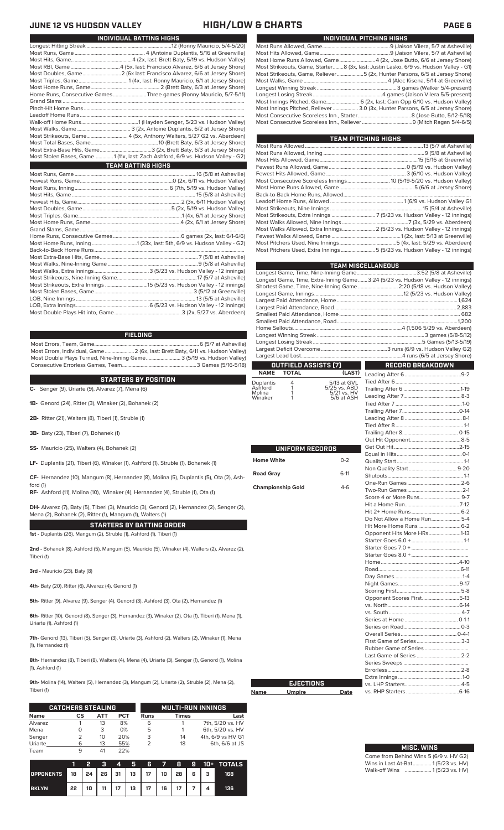### **JUNE 12 VS AND READ TO A VEH AND READ TO A VEH A VEH A VEH A VEH A VEH A VEH A VEH A VEH A VEH A VEH A VEH A VEH A**

| JUNE 12 VS HUDSON VALLEY                                                         |                                 | HIGH/LOV |
|----------------------------------------------------------------------------------|---------------------------------|----------|
|                                                                                  | <b>INDIVIDUAL BATTING HIGHS</b> |          |
|                                                                                  |                                 |          |
|                                                                                  |                                 |          |
|                                                                                  |                                 |          |
|                                                                                  |                                 |          |
|                                                                                  |                                 |          |
|                                                                                  |                                 |          |
|                                                                                  |                                 |          |
| Home Runs, Consecutive GamesThree games (Ronny Mauricio, 5/7-5/11)               |                                 |          |
|                                                                                  |                                 |          |
|                                                                                  |                                 |          |
|                                                                                  |                                 |          |
|                                                                                  |                                 |          |
| Most Strikeouts, Game 4 (5x, Anthony Walters, 5/27 G2 vs. Aberdeen)              |                                 |          |
|                                                                                  |                                 |          |
|                                                                                  |                                 |          |
| Most Stolen Bases, Game  1 (11x, last: Zach Ashford, 6/9 vs. Hudson Valley - G2) |                                 |          |
|                                                                                  | <b>TEAM BATTING HIGHS</b>       |          |
|                                                                                  |                                 |          |
|                                                                                  |                                 |          |
|                                                                                  |                                 |          |
|                                                                                  |                                 |          |
|                                                                                  |                                 |          |
|                                                                                  |                                 |          |
|                                                                                  |                                 |          |
|                                                                                  |                                 |          |
|                                                                                  |                                 |          |
|                                                                                  |                                 |          |
|                                                                                  |                                 |          |
|                                                                                  |                                 |          |
|                                                                                  |                                 |          |
|                                                                                  |                                 |          |
|                                                                                  |                                 |          |
|                                                                                  |                                 |          |
|                                                                                  |                                 |          |
|                                                                                  |                                 |          |
|                                                                                  |                                 |          |
|                                                                                  |                                 |          |
|                                                                                  |                                 |          |

### **FIELDING**

Most Errors, Team, Game...............................................................................6 (5/7 at Asheville) Most Errors, Individual, Game......................2 (6x, last: Brett Baty, 6/11 vs. Hudson Valley) Most Double Plays Turned, Nine-Inning Game.......................... 3 (5/19 vs. Hudson Valley) Consecutive Errorless Games, Team.

**C-** Senger (9), Uriarte (9), Alvarez (7), Mena (6) **STARTERS BY POSITION**

**1B-** Genord (24), Ritter (3), Winaker (2), Bohanek (2)

**2B-** Ritter (21), Walters (8), Tiberi (1), Struble (1)

**3B-** Baty (23), Tiberi (7), Bohanek (1)

**SS-** Mauricio (25), Walters (4), Bohanek (2)

**LF-** Duplantis (21), Tiberi (6), Winaker (1), Ashford (1), Struble (1), Bohanek (1)

**CF-** Hernandez (10), Mangum (8), Hernandez (8), Molina (5), Duplantis (5), Ota (2), Ash-

**RF-** Ashford (11), Molina (10), Winaker (4), Hernandez (4), Struble (1), Ota (1)

**DH-** Alvarez (7), Baty (5), Tiberi (3), Mauricio (3), Genord (2), Hernandez (2), Senger (2), Mena (2), Bohanek (2), Ritter (1), Mangum (1), Walters (1)

**STARTERS BY BATTING ORDER 1st -** Duplantis (26), Mangum (2), Struble (1), Ashford (1), Tiberi (1)

**2nd -** Bohanek (8), Ashford (5), Mangum (5), Mauricio (5), Winaker (4), Walters (2), Alvarez (2), Tiberi (1)

**3rd -** Mauricio (23), Baty (8)

ford (1)

**4th-** Baty (20), Ritter (6), Alvarez (4), Genord (1)

**5th-** Ritter (9), Alvarez (9), Senger (4), Genord (3), Ashford (3), Ota (2), Hernandez (1)

**6th-** Ritter (10), Genord (8), Senger (3), Hernandez (3), Winaker (2), Ota (1), Tiberi (1), Mena (1), Uriarte (1), Ashford (1)

**7th-** Genord (13), Tiberi (5), Senger (3), Uriarte (3), Ashford (2). Walters (2), Winaker (1), Mena (1), Hernandez (1)

**8th-** Hernandez (8), Tiberi (8), Walters (4), Mena (4), Uriarte (3), Senger (1), Genord (1), Molina (1), Ashford (1)

**9th-** Molina (14), Walters (5), Hernandez (3), Mangum (2), Uriarte (2), Struble (2), Mena (2), Tiberi (1)

|             | <b>CATCHERS STEALING</b> |     |     |      | <b>MULTI-RUN INNINGS</b> |                   |
|-------------|--------------------------|-----|-----|------|--------------------------|-------------------|
| <b>Name</b> | CS                       | АТТ | PCT | Runs | <b>Times</b>             | Last              |
| Alvarez     |                          | 13  | 8%  | 6    |                          | 7th, 5/20 vs. HV  |
| Mena        |                          | 3   | 0%  | 5    |                          | 6th, 5/20 vs. HV  |
| Senger      |                          | 10  | 20% | 3    | 14                       | 4th, 6/9 vs HV G1 |
| Uriarte     | 6                        | 13  | 55% |      | 18                       | 6th, 6/6 at JS    |
| Team        |                          | 41  | 22% |      |                          |                   |

|                  |                                           | פ  | a  | 4  | Б. | Æ  | $\overline{7}$    | -8 |     | <b>9 10+ TOTALS</b> |
|------------------|-------------------------------------------|----|----|----|----|----|-------------------|----|-----|---------------------|
| <b>OPPONENTS</b> | 18   24   26   31   13   17   10   28   6 |    |    |    |    |    |                   |    | - 3 | 168                 |
| <b>BKLYN</b>     | 22                                        | 10 | 11 | 17 | 13 | 17 | $16$   $\sqrt{ }$ | 17 |     | 136                 |

| INDIVIDUAL PITCHING HIGHS                                                            |
|--------------------------------------------------------------------------------------|
|                                                                                      |
|                                                                                      |
| Most Home Runs Allowed, Game 4 (2x, Jose Butto, 6/6 at Jersey Shore)                 |
| Most Strikeouts, Game, Starter8 (3x, last: Justin Lasko, 6/9 vs. Hudson Valley - G1) |
| Most Strikeouts, Game, Reliever……………………5 (2x, Hunter Parsons, 6/5 at Jersey Shore)   |
|                                                                                      |
|                                                                                      |
|                                                                                      |
| Most Innings Pitched, Game 6 (2x, last: Cam Opp 6/10 vs. Hudson Valley)              |
| Most Innings Pitched, Reliever  3.0 (3x, Hunter Parsons, 6/5 at Jersey Shore)        |
|                                                                                      |
|                                                                                      |
|                                                                                      |

| <b>TEAM PITCHING HIGHS</b>                                                |  |
|---------------------------------------------------------------------------|--|
|                                                                           |  |
|                                                                           |  |
|                                                                           |  |
|                                                                           |  |
|                                                                           |  |
| Most Consecutive Scoreless Innings 10 (5/19-5/20 vs. Hudson Valley)       |  |
|                                                                           |  |
|                                                                           |  |
|                                                                           |  |
|                                                                           |  |
|                                                                           |  |
|                                                                           |  |
| Most Walks Allowed, Extra Innings 2 (5/23 vs. Hudson Valley - 12 innings) |  |
|                                                                           |  |
|                                                                           |  |
| Most Pitchers Used, Extra Innings 5 (5/23 vs. Hudson Valley - 12 innings) |  |

|                      |                                      |                             | <b>TEAM MISCELLANEOUS</b>                                                        |  |
|----------------------|--------------------------------------|-----------------------------|----------------------------------------------------------------------------------|--|
|                      |                                      |                             |                                                                                  |  |
|                      |                                      |                             | Longest Game, Time, Extra-Inning Game 3:24 (5/23 vs. Hudson Valley - 12 innings) |  |
|                      |                                      |                             | Shortest Game, Time, Nine-Inning Game  2:20 (5/18 vs. Hudson Valley)             |  |
|                      |                                      |                             |                                                                                  |  |
|                      |                                      |                             |                                                                                  |  |
|                      |                                      |                             |                                                                                  |  |
|                      |                                      |                             |                                                                                  |  |
|                      |                                      |                             |                                                                                  |  |
|                      |                                      |                             |                                                                                  |  |
|                      |                                      |                             |                                                                                  |  |
|                      |                                      |                             |                                                                                  |  |
|                      |                                      |                             |                                                                                  |  |
| <b>NAME</b>          | OUTFIELD ASSISTS (7)<br><b>TOTAL</b> | (LAST)                      | <b>RECORD BREAKDOWN</b>                                                          |  |
|                      |                                      |                             |                                                                                  |  |
| Duplantis<br>Ashford | 4<br>1                               | 5/13 at GVL<br>5/25 vs. ABD |                                                                                  |  |
| Molina               | 1                                    | 5/21 vs. HV                 |                                                                                  |  |
| Winaker              | 1                                    | 5/6 at ASH                  |                                                                                  |  |
|                      |                                      |                             |                                                                                  |  |
|                      |                                      |                             |                                                                                  |  |
|                      |                                      |                             |                                                                                  |  |
|                      |                                      |                             |                                                                                  |  |
|                      |                                      |                             |                                                                                  |  |
|                      | UNIFORM RECORDS                      |                             |                                                                                  |  |
|                      |                                      |                             |                                                                                  |  |
| <b>Home White</b>    |                                      | $0 - 2$                     |                                                                                  |  |
| <b>Road Gray</b>     |                                      | $6-11$                      |                                                                                  |  |
|                      |                                      |                             |                                                                                  |  |
|                      | <b>Championship Gold</b>             | $4-6$                       |                                                                                  |  |
|                      |                                      |                             |                                                                                  |  |
|                      |                                      |                             |                                                                                  |  |
|                      |                                      |                             |                                                                                  |  |
|                      |                                      |                             | Do Not Allow a Home Run5-4                                                       |  |
|                      |                                      |                             |                                                                                  |  |
|                      |                                      |                             | Opponent Hits More HRs1-13                                                       |  |
|                      |                                      |                             |                                                                                  |  |
|                      |                                      |                             |                                                                                  |  |
|                      |                                      |                             |                                                                                  |  |
|                      |                                      |                             |                                                                                  |  |
|                      |                                      |                             |                                                                                  |  |
|                      |                                      |                             |                                                                                  |  |
|                      |                                      |                             |                                                                                  |  |
|                      |                                      |                             | Opponent Scores First5-13                                                        |  |
|                      |                                      |                             |                                                                                  |  |
|                      |                                      |                             |                                                                                  |  |
|                      |                                      |                             |                                                                                  |  |
|                      |                                      |                             |                                                                                  |  |
|                      |                                      |                             |                                                                                  |  |
|                      |                                      |                             | First Game of Series 3-3                                                         |  |
|                      |                                      |                             |                                                                                  |  |
|                      |                                      |                             | Last Game of Series  2-2                                                         |  |
|                      |                                      |                             |                                                                                  |  |
|                      |                                      |                             |                                                                                  |  |
|                      | <b>EJECTIONS</b>                     |                             |                                                                                  |  |
| Name                 | <b>Umpire</b>                        | Date                        |                                                                                  |  |
|                      |                                      |                             |                                                                                  |  |

| <b>MISC. WINS</b>                      |  |
|----------------------------------------|--|
| Come from Behind Wins 5 (6/9 v. HV G2) |  |
| Wins in Last At-Bat 1 (5/23 vs. HV)    |  |
| Walk-off Wins  1(5/23 vs. HV)          |  |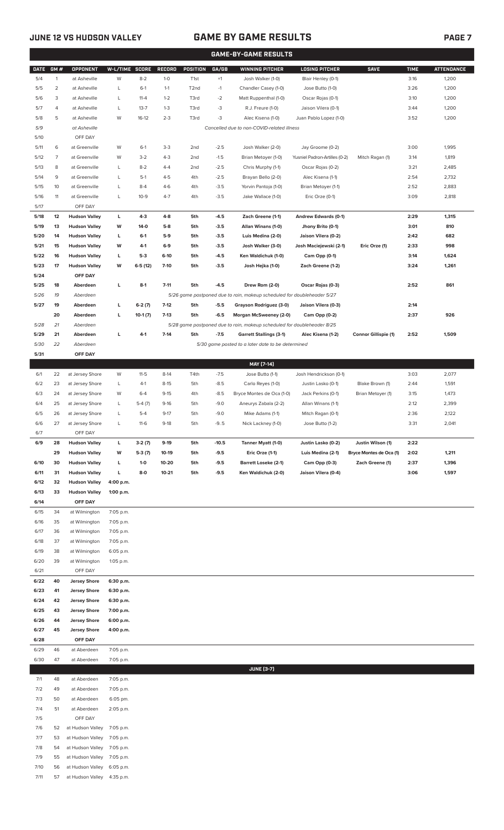7/11 57 at Hudson Valley 4:35 p.m.

### **JUNE 12 VS HUDSON VALLEY GAME BY GAME RESULTS PAGE 7**

|              | <b>GAME-BY-GAME RESULTS</b> |                                              |                        |                |                  |                   |                  |                                                                         |                                          |                             |              |                   |
|--------------|-----------------------------|----------------------------------------------|------------------------|----------------|------------------|-------------------|------------------|-------------------------------------------------------------------------|------------------------------------------|-----------------------------|--------------|-------------------|
| <b>DATE</b>  | GM#                         | <b>OPPONENT</b>                              | W-L/TIME SCORE         |                | <b>RECORD</b>    | POSITION          | GA/GB            | <b>WINNING PITCHER</b>                                                  | <b>LOSING PITCHER</b>                    | <b>SAVE</b>                 | <b>TIME</b>  | <b>ATTENDANCE</b> |
| 5/4          | $\mathbf{1}$                | at Asheville                                 | W                      | $8 - 2$        | $1 - 0$          | T <sub>1st</sub>  | $+1$             | Josh Walker (1-0)                                                       | Blair Henley (0-1)                       |                             | 3:16         | 1,200             |
| 5/5          | $\overline{2}$              | at Asheville                                 | L                      | $6-1$          | $1 - 1$          | T <sub>2</sub> nd | $-1$             | Chandler Casey (1-0)                                                    | Jose Butto (1-0)                         |                             | 3:26         | 1,200             |
| 5/6          | 3                           | at Asheville                                 | L                      | $11 - 4$       | $1 - 2$          | T3rd              | $-2$             | Matt Ruppenthal (1-0)                                                   | Oscar Rojas (0-1)                        |                             | 3:10         | 1,200             |
| 5/7          | 4                           | at Asheville                                 | L                      | $13 - 7$       | $1 - 3$          | T3rd              | $-3$             | R.J. Freure (1-0)                                                       | Jaison Vilera (0-1)                      |                             | 3:44         | 1,200             |
| 5/8          | 5                           | at Asheville                                 | W                      | $16-12$        | $2 - 3$          | T3rd              | $-3$             | Alec Kisena (1-0)                                                       | Juan Pablo Lopez (1-0)                   |                             | 3:52         | 1,200             |
| 5/9          |                             | at Asheville                                 |                        |                |                  |                   |                  | Cancelled due to non-COVID-related illness                              |                                          |                             |              |                   |
| 5/10         |                             | OFF DAY                                      |                        |                |                  |                   |                  |                                                                         |                                          |                             |              |                   |
| 5/11         | 6                           | at Greenville                                | W                      | $6-1$          | $3-3$            | 2 <sub>nd</sub>   | $-2.5$           | Josh Walker (2-0)                                                       | Jay Groome (0-2)                         |                             | 3:00         | 1,995             |
| 5/12         | $\overline{7}$              | at Greenville                                | W                      | $3-2$          | $4 - 3$          | 2 <sub>nd</sub>   | $-1.5$           | Brian Metoyer (1-0)                                                     | Yusniel Padron-Artilles (0-2)            | Mitch Ragan (1)             | 3:14         | 1,819             |
| 5/13         | 8                           | at Greenville                                | L                      | $8-2$          | $4 - 4$          | 2 <sub>nd</sub>   | $-2.5$           | Chris Murphy (1-1)                                                      | Oscar Rojas (0-2)                        |                             | 3:21         | 2,485             |
| 5/14<br>5/15 | 9<br>10                     | at Greenville<br>at Greenville               | L<br>L                 | $5-1$<br>$8-4$ | $4 - 5$<br>$4-6$ | 4th<br>4th        | $-2.5$<br>$-3.5$ | Brayan Bello (2-0)<br>Yorvin Pantoja (1-0)                              | Alec Kisena (1-1)<br>Brian Metoyer (1-1) |                             | 2:54         | 2,732<br>2,883    |
| 5/16         | 11                          | at Greenville                                | L                      | $10-9$         | $4 - 7$          | 4th               | $-3.5$           | Jake Wallace (1-0)                                                      | Eric Orze (0-1)                          |                             | 2:52<br>3:09 | 2,818             |
| 5/17         |                             | OFF DAY                                      |                        |                |                  |                   |                  |                                                                         |                                          |                             |              |                   |
| 5/18         | 12                          | <b>Hudson Valley</b>                         | L                      | $4-3$          | $4-8$            | 5th               | $-4.5$           | Zach Greene (1-1)                                                       | Andrew Edwards (0-1)                     |                             | 2:29         | 1,315             |
| 5/19         | 13                          | <b>Hudson Valley</b>                         | W                      | 14-0           | $5-8$            | 5th               | $-3.5$           | Allan Winans (1-0)                                                      | Jhony Brito (0-1)                        |                             | 3:01         | 810               |
| 5/20         | 14                          | <b>Hudson Valley</b>                         | L                      | $6-1$          | $5-9$            | 5th               | $-3.5$           | Luis Medina (2-0)                                                       | Jaison Vilera (0-2)                      |                             | 2:42         | 682               |
| 5/21         | 15                          | <b>Hudson Valley</b>                         | W                      | 4-1            | $6-9$            | 5th               | $-3.5$           | Josh Walker (3-0)                                                       | Josh Maciejewski (2-1)                   | Eric Orze (1)               | 2:33         | 998               |
| 5/22         | 16                          | <b>Hudson Valley</b>                         | L                      | $5-3$          | 6-10             | 5th               | $-4.5$           | Ken Waldichuk (1-0)                                                     | Cam Opp (0-1)                            |                             | 3:14         | 1,624             |
| 5/23         | 17                          | <b>Hudson Valley</b>                         | W                      | $6-5(12)$      | $7-10$           | 5th               | $-3.5$           | Josh Hejka (1-0)                                                        | Zach Greene (1-2)                        |                             | 3:24         | 1,261             |
| 5/24         |                             | OFF DAY                                      |                        |                |                  |                   |                  |                                                                         |                                          |                             |              |                   |
| 5/25         | 18                          | Aberdeen                                     | L                      | $8-1$          | $7 - 11$         | 5th               | $-4.5$           | Drew Rom (2-0)                                                          | Oscar Rojas (0-3)                        |                             | 2:52         | 861               |
| 5/26         | 19                          | Aberdeen                                     |                        |                |                  |                   |                  | 5/26 game postponed due to rain, makeup scheduled for doubleheader 5/27 |                                          |                             |              |                   |
| 5/27         | 19                          | Aberdeen                                     | L                      | $6-2(7)$       | $7-12$           | 5th               | $-5.5$           | Grayson Rodriguez (3-0)                                                 | Jaison Vilera (0-3)                      |                             | 2:14         |                   |
|              | 20                          | Aberdeen                                     | L                      | $10-1(7)$      | $7-13$           | 5th               | $-6.5$           | Morgan McSweeney (2-0)                                                  | Cam Opp (0-2)                            |                             | 2:37         | 926               |
| 5/28         | 21                          | Aberdeen                                     |                        |                |                  |                   |                  | 5/28 game postponed due to rain, makeup scheduled for doubleheader 8/25 |                                          |                             |              |                   |
| 5/29         | 21                          | Aberdeen                                     | L                      | $4 - 1$        | $7 - 14$         | 5th               | $-7.5$           | <b>Garrett Stallings (3-1)</b>                                          | Alec Kisena (1-2)                        | <b>Connor Gillispie (1)</b> | 2:52         | 1,509             |
| 5/30         | 22                          | Aberdeen                                     |                        |                |                  |                   |                  | 5/30 game posted to a later date to be determined                       |                                          |                             |              |                   |
| 5/31         |                             | OFF DAY                                      |                        |                |                  |                   |                  | MAY [7-14]                                                              |                                          |                             |              |                   |
| 6/1          | 22                          | at Jersey Shore                              | W                      | $11 - 5$       | $8-14$           | T4th              | $-7.5$           | Jose Butto (1-1)                                                        | Josh Hendrickson (0-1)                   |                             | 3:03         | 2,077             |
| 6/2          | 23                          | at Jersey Shore                              | L                      | $4-1$          | $8 - 15$         | 5th               | $-8.5$           | Carlo Reyes (1-0)                                                       | Justin Lasko (0-1)                       | Blake Brown (1)             | 2:44         | 1,591             |
| 6/3          | 24                          | at Jersey Shore                              | W                      | $6 - 4$        | $9 - 15$         | 4th               | $-8.5$           | Bryce Montes de Oca (1-0)                                               | Jack Perkins (0-1)                       | Brian Metoyer (1)           | 3:15         | 1,473             |
| 6/4          | 25                          | at Jersey Shore                              | L                      | $5-4(7)$       | $9-16$           | 5th               | $-9.0$           | Aneurys Zabala (2-2)                                                    | Allan Winans (1-1)                       |                             | 2:12         | 2,399             |
| 6/5          | 26                          | at Jersey Shore                              | L                      | $5 - 4$        | $9 - 17$         | 5th               | $-9.0$           | Mike Adams (1-1)                                                        | Mitch Ragan (0-1)                        |                             | 2:36         | 2,122             |
| 6/6          | 27                          | at Jersey Shore                              | L                      | $11-6$         | $9-18$           | 5th               | $-9.5$           | Nick Lackney (1-0)                                                      | Jose Butto (1-2)                         |                             | 3:31         | 2,041             |
| 6/7          |                             | OFF DAY                                      |                        |                |                  |                   |                  |                                                                         |                                          |                             |              |                   |
| 6/9          | 28                          | <b>Hudson Valley</b>                         | L                      | $3-2(7)$       | $9-19$           | 5th               | $-10.5$          | Tanner Myatt (1-0)                                                      | Justin Lasko (0-2)                       | Justin Wilson (1)           | 2:22         |                   |
|              | 29                          | <b>Hudson Valley</b>                         | W                      | $5-3(7)$       | $10-19$          | 5th               | $-9.5$           | Eric Orze (1-1)                                                         | Luis Medina (2-1)                        | Bryce Montes de Oca (1)     | 2:02         | 1,211             |
| 6/10         | 30                          | <b>Hudson Valley</b>                         | г                      | $1-0$          | 10-20            | 5th               | $-9.5$           | <b>Barrett Loseke (2-1)</b>                                             | Cam Opp (0-3)                            | Zach Greene (1)             | 2:37         | 1,396             |
| 6/11<br>6/12 | 31<br>32                    | <b>Hudson Valley</b><br><b>Hudson Valley</b> | г<br>4:00 p.m.         | 8-0            | $10 - 21$        | 5th               | $-9.5$           | Ken Waldichuk (2-0)                                                     | Jaison Vilera (0-4)                      |                             | 3:06         | 1,597             |
| 6/13         | 33                          | <b>Hudson Valley</b>                         | 1:00 p.m.              |                |                  |                   |                  |                                                                         |                                          |                             |              |                   |
| 6/14         |                             | OFF DAY                                      |                        |                |                  |                   |                  |                                                                         |                                          |                             |              |                   |
| 6/15         | 34                          | at Wilmington                                | 7:05 p.m.              |                |                  |                   |                  |                                                                         |                                          |                             |              |                   |
| 6/16         | 35                          | at Wilmington                                | 7:05 p.m.              |                |                  |                   |                  |                                                                         |                                          |                             |              |                   |
| 6/17         | 36                          | at Wilmington                                | 7:05 p.m.              |                |                  |                   |                  |                                                                         |                                          |                             |              |                   |
| 6/18         | 37                          | at Wilmington                                | 7:05 p.m.              |                |                  |                   |                  |                                                                         |                                          |                             |              |                   |
| 6/19         | 38                          | at Wilmington                                | 6:05 p.m.              |                |                  |                   |                  |                                                                         |                                          |                             |              |                   |
| 6/20         | 39                          | at Wilmington                                | 1:05 p.m.              |                |                  |                   |                  |                                                                         |                                          |                             |              |                   |
| 6/21         | 40                          | OFF DAY                                      |                        |                |                  |                   |                  |                                                                         |                                          |                             |              |                   |
| 6/22<br>6/23 | 41                          | <b>Jersey Shore</b><br><b>Jersey Shore</b>   | 6:30 p.m.<br>6:30 p.m. |                |                  |                   |                  |                                                                         |                                          |                             |              |                   |
| 6/24         | 42                          | <b>Jersey Shore</b>                          | 6:30 p.m.              |                |                  |                   |                  |                                                                         |                                          |                             |              |                   |
| 6/25         | 43                          | <b>Jersey Shore</b>                          | 7:00 p.m.              |                |                  |                   |                  |                                                                         |                                          |                             |              |                   |
| 6/26         | 44                          | <b>Jersey Shore</b>                          | 6:00 p.m.              |                |                  |                   |                  |                                                                         |                                          |                             |              |                   |
| 6/27         | 45                          | <b>Jersey Shore</b>                          | 4:00 p.m.              |                |                  |                   |                  |                                                                         |                                          |                             |              |                   |
| 6/28         |                             | OFF DAY                                      |                        |                |                  |                   |                  |                                                                         |                                          |                             |              |                   |
| 6/29         | 46                          | at Aberdeen                                  | 7:05 p.m.              |                |                  |                   |                  |                                                                         |                                          |                             |              |                   |
| 6/30         | 47                          | at Aberdeen                                  | 7:05 p.m.              |                |                  |                   |                  |                                                                         |                                          |                             |              |                   |
|              |                             |                                              |                        |                |                  |                   |                  | <b>JUNE [3-7]</b>                                                       |                                          |                             |              |                   |
| 7/1          | 48                          | at Aberdeen                                  | 7:05 p.m.              |                |                  |                   |                  |                                                                         |                                          |                             |              |                   |
| 7/2          | 49<br>50                    | at Aberdeen<br>at Aberdeen                   | 7:05 p.m.              |                |                  |                   |                  |                                                                         |                                          |                             |              |                   |
| 7/3<br>7/4   | 51                          | at Aberdeen                                  | 6:05 pm.<br>2:05 p.m.  |                |                  |                   |                  |                                                                         |                                          |                             |              |                   |
| 7/5          |                             | OFF DAY                                      |                        |                |                  |                   |                  |                                                                         |                                          |                             |              |                   |
| 7/6          | 52                          | at Hudson Valley                             | 7:05 p.m.              |                |                  |                   |                  |                                                                         |                                          |                             |              |                   |
| 7/7          | 53                          | at Hudson Valley                             | 7:05 p.m.              |                |                  |                   |                  |                                                                         |                                          |                             |              |                   |
| 7/8          | 54                          | at Hudson Valley                             | 7:05 p.m.              |                |                  |                   |                  |                                                                         |                                          |                             |              |                   |
| 7/9          | 55                          | at Hudson Valley                             | 7:05 p.m.              |                |                  |                   |                  |                                                                         |                                          |                             |              |                   |
| 7/10         | 56                          | at Hudson Valley 6:05 p.m.                   |                        |                |                  |                   |                  |                                                                         |                                          |                             |              |                   |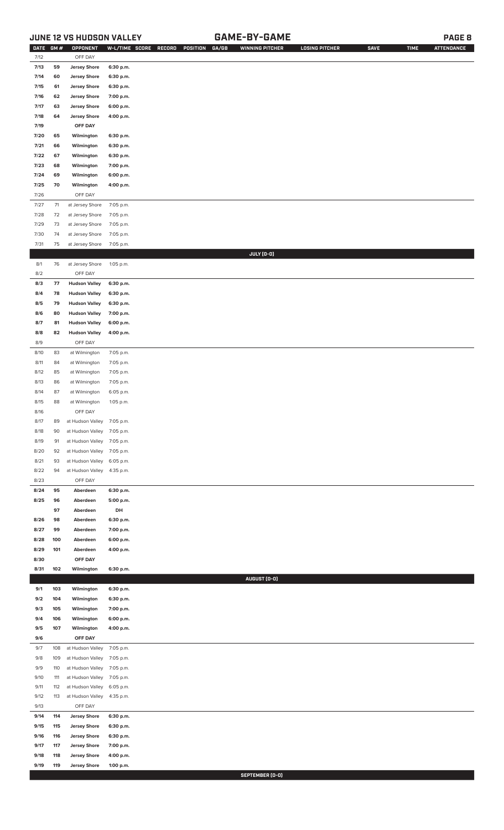### **JUNE 12 VS HUDSON VALLEY GAME-BY-GAME PAGE 8**

| <b>DATE</b> | GM# | OPPONENT                   | W-L/TIME SCORE | RECORD<br>POSITION<br>GA/GB | <b>WINNING PITCHER</b> | <b>LOSING PITCHER</b> | <b>SAVE</b> | <b>TIME</b> | <b>ATTENDANCE</b> |
|-------------|-----|----------------------------|----------------|-----------------------------|------------------------|-----------------------|-------------|-------------|-------------------|
| 7/12        |     | OFF DAY                    |                |                             |                        |                       |             |             |                   |
| 7/13        | 59  | <b>Jersey Shore</b>        | 6:30 p.m.      |                             |                        |                       |             |             |                   |
| 7/14        | 60  | <b>Jersey Shore</b>        | 6:30 p.m.      |                             |                        |                       |             |             |                   |
|             |     |                            |                |                             |                        |                       |             |             |                   |
| 7/15        | 61  | <b>Jersey Shore</b>        | 6:30 p.m.      |                             |                        |                       |             |             |                   |
| 7/16        | 62  | <b>Jersey Shore</b>        | 7:00 p.m.      |                             |                        |                       |             |             |                   |
| 7/17        | 63  | <b>Jersey Shore</b>        | 6:00 p.m.      |                             |                        |                       |             |             |                   |
| 7/18        | 64  | <b>Jersey Shore</b>        | 4:00 p.m.      |                             |                        |                       |             |             |                   |
| 7/19        |     | OFF DAY                    |                |                             |                        |                       |             |             |                   |
| 7/20        | 65  | Wilmington                 | 6:30 p.m.      |                             |                        |                       |             |             |                   |
| 7/21        | 66  | Wilmington                 | 6:30 p.m.      |                             |                        |                       |             |             |                   |
| 7/22        | 67  | Wilmington                 | 6:30 p.m.      |                             |                        |                       |             |             |                   |
|             |     |                            |                |                             |                        |                       |             |             |                   |
| 7/23        | 68  | Wilmington                 | 7:00 p.m.      |                             |                        |                       |             |             |                   |
| 7/24        | 69  | Wilmington                 | 6:00 p.m.      |                             |                        |                       |             |             |                   |
| 7/25        | 70  | Wilmington                 | 4:00 p.m.      |                             |                        |                       |             |             |                   |
| 7/26        |     | OFF DAY                    |                |                             |                        |                       |             |             |                   |
| 7/27        | 71  | at Jersey Shore            | 7:05 p.m.      |                             |                        |                       |             |             |                   |
| $7/28$      | 72  | at Jersey Shore            | 7:05 p.m.      |                             |                        |                       |             |             |                   |
| 7/29        | 73  | at Jersey Shore            | 7:05 p.m.      |                             |                        |                       |             |             |                   |
| 7/30        |     |                            |                |                             |                        |                       |             |             |                   |
|             | 74  | at Jersey Shore            | 7:05 p.m.      |                             |                        |                       |             |             |                   |
| 7/31        | 75  | at Jersey Shore            | 7:05 p.m.      |                             |                        |                       |             |             |                   |
|             |     |                            |                |                             | JULY (0-0)             |                       |             |             |                   |
| 8/1         | 76  | at Jersey Shore            | 1:05 p.m.      |                             |                        |                       |             |             |                   |
| 8/2         |     | OFF DAY                    |                |                             |                        |                       |             |             |                   |
| 8/3         | 77  | <b>Hudson Valley</b>       | 6:30 p.m.      |                             |                        |                       |             |             |                   |
| 8/4         | 78  | <b>Hudson Valley</b>       | 6:30 p.m.      |                             |                        |                       |             |             |                   |
| 8/5         | 79  | <b>Hudson Valley</b>       | 6:30 p.m.      |                             |                        |                       |             |             |                   |
|             |     |                            |                |                             |                        |                       |             |             |                   |
| 8/6         | 80  | <b>Hudson Valley</b>       | 7:00 p.m.      |                             |                        |                       |             |             |                   |
| 8/7         | 81  | <b>Hudson Valley</b>       | 6:00 p.m.      |                             |                        |                       |             |             |                   |
| 8/8         | 82  | <b>Hudson Valley</b>       | 4:00 p.m.      |                             |                        |                       |             |             |                   |
| 8/9         |     | OFF DAY                    |                |                             |                        |                       |             |             |                   |
| 8/10        | 83  | at Wilmington              | 7:05 p.m.      |                             |                        |                       |             |             |                   |
| 8/11        | 84  | at Wilmington              | 7:05 p.m.      |                             |                        |                       |             |             |                   |
| 8/12        | 85  | at Wilmington              | 7:05 p.m.      |                             |                        |                       |             |             |                   |
| 8/13        | 86  | at Wilmington              | 7:05 p.m.      |                             |                        |                       |             |             |                   |
|             |     |                            |                |                             |                        |                       |             |             |                   |
| 8/14        | 87  | at Wilmington              | 6:05 p.m.      |                             |                        |                       |             |             |                   |
| 8/15        | 88  | at Wilmington              | 1:05 p.m.      |                             |                        |                       |             |             |                   |
| 8/16        |     | OFF DAY                    |                |                             |                        |                       |             |             |                   |
| 8/17        | 89  | at Hudson Valley 7:05 p.m. |                |                             |                        |                       |             |             |                   |
| 8/18        | 90  | at Hudson Valley           | 7:05 p.m.      |                             |                        |                       |             |             |                   |
| 8/19        | 91  | at Hudson Valley           | 7:05 p.m.      |                             |                        |                       |             |             |                   |
| 8/20        | 92  | at Hudson Valley           | 7:05 p.m.      |                             |                        |                       |             |             |                   |
| 8/21        | 93  | at Hudson Valley           | 6:05 p.m.      |                             |                        |                       |             |             |                   |
|             |     |                            |                |                             |                        |                       |             |             |                   |
| 8/22        | 94  | at Hudson Valley           | 4:35 p.m.      |                             |                        |                       |             |             |                   |
| 8/23        |     | OFF DAY                    |                |                             |                        |                       |             |             |                   |
| 8/24        | 95  | Aberdeen                   | 6:30 p.m.      |                             |                        |                       |             |             |                   |
| 8/25        | 96  | Aberdeen                   | 5:00 p.m.      |                             |                        |                       |             |             |                   |
|             | 97  | Aberdeen                   | DH             |                             |                        |                       |             |             |                   |
| 8/26        | 98  | Aberdeen                   | 6:30 p.m.      |                             |                        |                       |             |             |                   |
| 8/27        | 99  | Aberdeen                   | 7:00 p.m.      |                             |                        |                       |             |             |                   |
| 8/28        | 100 | Aberdeen                   | 6:00 p.m.      |                             |                        |                       |             |             |                   |
|             |     |                            |                |                             |                        |                       |             |             |                   |
| 8/29        | 101 | Aberdeen                   | 4:00 p.m.      |                             |                        |                       |             |             |                   |
| 8/30        |     | OFF DAY                    |                |                             |                        |                       |             |             |                   |
| 8/31        | 102 | Wilmington                 | 6:30 p.m.      |                             |                        |                       |             |             |                   |
|             |     |                            |                |                             | AUGUST (0-0)           |                       |             |             |                   |
| 9/1         | 103 | Wilmington                 | 6:30 p.m.      |                             |                        |                       |             |             |                   |
| 9/2         | 104 | Wilmington                 | 6:30 p.m.      |                             |                        |                       |             |             |                   |
| 9/3         | 105 | Wilmington                 | 7:00 p.m.      |                             |                        |                       |             |             |                   |
| 9/4         | 106 | Wilmington                 | 6:00 p.m.      |                             |                        |                       |             |             |                   |
|             |     |                            |                |                             |                        |                       |             |             |                   |
| 9/5         | 107 | Wilmington                 | 4:00 p.m.      |                             |                        |                       |             |             |                   |
| 9/6         |     | OFF DAY                    |                |                             |                        |                       |             |             |                   |
| 9/7         | 108 | at Hudson Valley           | 7:05 p.m.      |                             |                        |                       |             |             |                   |
| 9/8         | 109 | at Hudson Valley           | 7:05 p.m.      |                             |                        |                       |             |             |                   |
| 9/9         | 110 | at Hudson Valley           | 7:05 p.m.      |                             |                        |                       |             |             |                   |
| 9/10        | 111 | at Hudson Valley           | 7:05 p.m.      |                             |                        |                       |             |             |                   |
| 9/11        | 112 | at Hudson Valley           | 6:05 p.m.      |                             |                        |                       |             |             |                   |
| 9/12        | 113 | at Hudson Valley           | 4:35 p.m.      |                             |                        |                       |             |             |                   |
|             |     |                            |                |                             |                        |                       |             |             |                   |
| 9/13        |     | OFF DAY                    |                |                             |                        |                       |             |             |                   |
| 9/14        | 114 | <b>Jersey Shore</b>        | 6:30 p.m.      |                             |                        |                       |             |             |                   |
| 9/15        | 115 | <b>Jersey Shore</b>        | 6:30 p.m.      |                             |                        |                       |             |             |                   |
| 9/16        | 116 | <b>Jersey Shore</b>        | 6:30 p.m.      |                             |                        |                       |             |             |                   |
| 9/17        | 117 | <b>Jersey Shore</b>        | 7:00 p.m.      |                             |                        |                       |             |             |                   |
| 9/18        | 118 | <b>Jersey Shore</b>        | 4:00 p.m.      |                             |                        |                       |             |             |                   |
| 9/19        | 119 | <b>Jersey Shore</b>        | 1:00 p.m.      |                             |                        |                       |             |             |                   |
|             |     |                            |                |                             |                        |                       |             |             |                   |

**SEPTEMBER (0-0)**